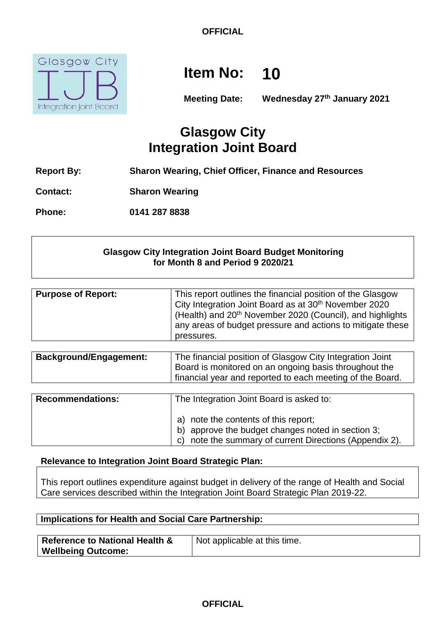

# **Item No: 10**

**Meeting Date: Wednesday 27th January 2021**

# **Glasgow City Integration Joint Board**

- **Report By: Sharon Wearing, Chief Officer, Finance and Resources**
- **Contact: Sharon Wearing**

**Phone: 0141 287 8838**

# **Glasgow City Integration Joint Board Budget Monitoring for Month 8 and Period 9 2020/21**

| <b>Purpose of Report:</b> | This report outlines the financial position of the Glasgow<br>City Integration Joint Board as at 30 <sup>th</sup> November 2020<br>(Health) and 20 <sup>th</sup> November 2020 (Council), and highlights |
|---------------------------|----------------------------------------------------------------------------------------------------------------------------------------------------------------------------------------------------------|
|                           | any areas of budget pressure and actions to mitigate these                                                                                                                                               |
|                           | pressures.                                                                                                                                                                                               |

| <b>Background/Engagement:</b> | The financial position of Glasgow City Integration Joint  |
|-------------------------------|-----------------------------------------------------------|
|                               | Board is monitored on an ongoing basis throughout the     |
|                               | financial year and reported to each meeting of the Board. |
|                               |                                                           |

| <b>Recommendations:</b> | The Integration Joint Board is asked to:                                                                                                             |
|-------------------------|------------------------------------------------------------------------------------------------------------------------------------------------------|
|                         | a) note the contents of this report;<br>b) approve the budget changes noted in section 3;<br>c) note the summary of current Directions (Appendix 2). |

# **Relevance to Integration Joint Board Strategic Plan:**

This report outlines expenditure against budget in delivery of the range of Health and Social Care services described within the Integration Joint Board Strategic Plan 2019-22.

# **Implications for Health and Social Care Partnership:**

| <b>Reference to National Health &amp;</b> | Not applicable at this time. |
|-------------------------------------------|------------------------------|
| <b>Wellbeing Outcome:</b>                 |                              |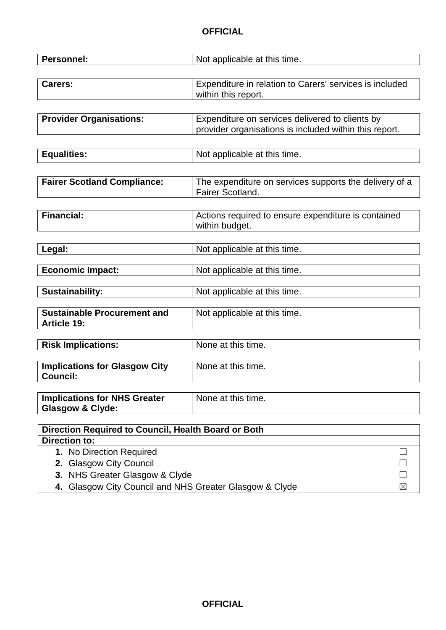| <b>Personnel:</b>                                       | Not applicable at this time.                            |
|---------------------------------------------------------|---------------------------------------------------------|
|                                                         |                                                         |
| Carers:                                                 | Expenditure in relation to Carers' services is included |
|                                                         | within this report.                                     |
|                                                         |                                                         |
| <b>Provider Organisations:</b>                          | Expenditure on services delivered to clients by         |
|                                                         | provider organisations is included within this report.  |
|                                                         |                                                         |
| <b>Equalities:</b>                                      | Not applicable at this time.                            |
|                                                         |                                                         |
|                                                         |                                                         |
| <b>Fairer Scotland Compliance:</b>                      | The expenditure on services supports the delivery of a  |
|                                                         | Fairer Scotland.                                        |
|                                                         |                                                         |
| <b>Financial:</b>                                       | Actions required to ensure expenditure is contained     |
|                                                         | within budget.                                          |
|                                                         |                                                         |
| Legal:                                                  | Not applicable at this time.                            |
| <b>Economic Impact:</b>                                 | Not applicable at this time.                            |
|                                                         |                                                         |
| <b>Sustainability:</b>                                  | Not applicable at this time.                            |
|                                                         |                                                         |
| Sustainable Procurement and                             | Not applicable at this time.                            |
| <b>Article 19:</b>                                      |                                                         |
|                                                         |                                                         |
| <b>Risk Implications:</b>                               | None at this time.                                      |
|                                                         | None at this time.                                      |
| <b>Implications for Glasgow City</b><br><b>Council:</b> |                                                         |
|                                                         |                                                         |
| <b>Implications for NHS Greater</b>                     | None at this time.                                      |
| <b>Glasgow &amp; Clyde:</b>                             |                                                         |
|                                                         |                                                         |
| Direction Required to Council, Health Board or Both     |                                                         |
| <b>Direction to:</b>                                    |                                                         |
| 1. No Direction Required                                |                                                         |
| 2. Glasgow City Council                                 |                                                         |
| 3. NHS Greater Glasgow & Clyde                          |                                                         |
| 4. Glasgow City Council and NHS Greater Glasgow & Clyde | ⊠                                                       |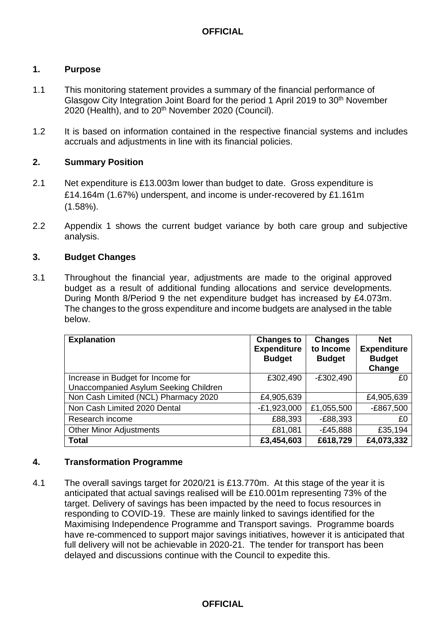## **1. Purpose**

- 1.1 This monitoring statement provides a summary of the financial performance of Glasgow City Integration Joint Board for the period 1 April 2019 to 30<sup>th</sup> November 2020 (Health), and to 20<sup>th</sup> November 2020 (Council).
- 1.2 It is based on information contained in the respective financial systems and includes accruals and adjustments in line with its financial policies.

# **2. Summary Position**

- 2.1 Net expenditure is £13.003m lower than budget to date. Gross expenditure is £14.164m (1.67%) underspent, and income is under-recovered by £1.161m (1.58%).
- 2.2 Appendix 1 shows the current budget variance by both care group and subjective analysis.

# **3. Budget Changes**

3.1 Throughout the financial year, adjustments are made to the original approved budget as a result of additional funding allocations and service developments. During Month 8/Period 9 the net expenditure budget has increased by £4.073m. The changes to the gross expenditure and income budgets are analysed in the table below.

| <b>Explanation</b>                                                         | <b>Changes to</b><br><b>Expenditure</b><br><b>Budget</b> | <b>Changes</b><br>to Income<br><b>Budget</b> | <b>Net</b><br><b>Expenditure</b><br><b>Budget</b><br>Change |
|----------------------------------------------------------------------------|----------------------------------------------------------|----------------------------------------------|-------------------------------------------------------------|
| Increase in Budget for Income for<br>Unaccompanied Asylum Seeking Children | £302,490                                                 | $-E302,490$                                  | £0                                                          |
| Non Cash Limited (NCL) Pharmacy 2020                                       | £4,905,639                                               |                                              | £4,905,639                                                  |
| Non Cash Limited 2020 Dental                                               | $-E1,923,000$                                            | £1,055,500                                   | $-E867,500$                                                 |
| Research income                                                            | £88,393                                                  | $-E88,393$                                   | £0                                                          |
| <b>Other Minor Adjustments</b>                                             | £81,081                                                  | $-E45,888$                                   | £35,194                                                     |
| <b>Total</b>                                                               | £3,454,603                                               | £618,729                                     | £4,073,332                                                  |

#### **4. Transformation Programme**

4.1 The overall savings target for 2020/21 is £13.770m. At this stage of the year it is anticipated that actual savings realised will be £10.001m representing 73% of the target. Delivery of savings has been impacted by the need to focus resources in responding to COVID-19. These are mainly linked to savings identified for the Maximising Independence Programme and Transport savings. Programme boards have re-commenced to support major savings initiatives, however it is anticipated that full delivery will not be achievable in 2020-21. The tender for transport has been delayed and discussions continue with the Council to expedite this.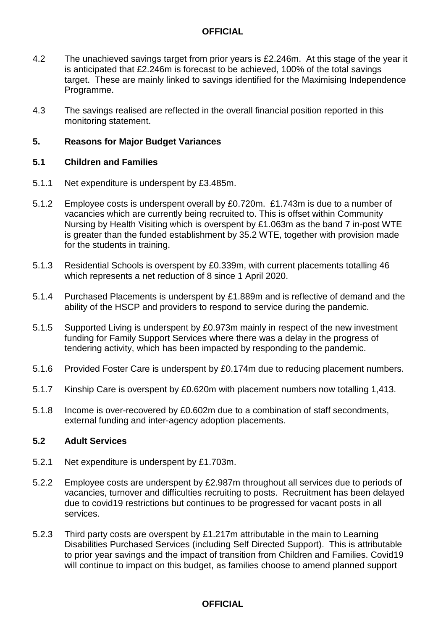- 4.2 The unachieved savings target from prior years is £2.246m. At this stage of the year it is anticipated that £2.246m is forecast to be achieved, 100% of the total savings target. These are mainly linked to savings identified for the Maximising Independence Programme.
- 4.3 The savings realised are reflected in the overall financial position reported in this monitoring statement.

#### **5. Reasons for Major Budget Variances**

#### **5.1 Children and Families**

- 5.1.1 Net expenditure is underspent by £3.485m.
- 5.1.2 Employee costs is underspent overall by £0.720m. £1.743m is due to a number of vacancies which are currently being recruited to. This is offset within Community Nursing by Health Visiting which is overspent by £1.063m as the band 7 in-post WTE is greater than the funded establishment by 35.2 WTE, together with provision made for the students in training.
- 5.1.3 Residential Schools is overspent by £0.339m, with current placements totalling 46 which represents a net reduction of 8 since 1 April 2020.
- 5.1.4 Purchased Placements is underspent by £1.889m and is reflective of demand and the ability of the HSCP and providers to respond to service during the pandemic.
- 5.1.5 Supported Living is underspent by £0.973m mainly in respect of the new investment funding for Family Support Services where there was a delay in the progress of tendering activity, which has been impacted by responding to the pandemic.
- 5.1.6 Provided Foster Care is underspent by £0.174m due to reducing placement numbers.
- 5.1.7 Kinship Care is overspent by £0.620m with placement numbers now totalling 1,413.
- 5.1.8 Income is over-recovered by £0.602m due to a combination of staff secondments, external funding and inter-agency adoption placements.

# **5.2 Adult Services**

- 5.2.1 Net expenditure is underspent by £1.703m.
- 5.2.2 Employee costs are underspent by £2.987m throughout all services due to periods of vacancies, turnover and difficulties recruiting to posts. Recruitment has been delayed due to covid19 restrictions but continues to be progressed for vacant posts in all services.
- 5.2.3 Third party costs are overspent by £1.217m attributable in the main to Learning Disabilities Purchased Services (including Self Directed Support). This is attributable to prior year savings and the impact of transition from Children and Families. Covid19 will continue to impact on this budget, as families choose to amend planned support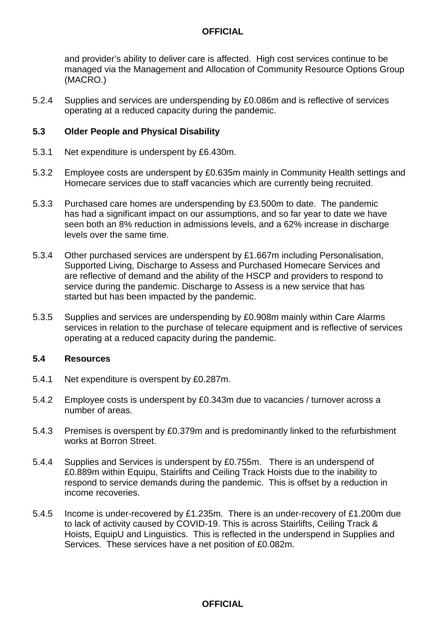and provider's ability to deliver care is affected. High cost services continue to be managed via the Management and Allocation of Community Resource Options Group (MACRO.)

5.2.4 Supplies and services are underspending by £0.086m and is reflective of services operating at a reduced capacity during the pandemic.

#### **5.3 Older People and Physical Disability**

- 5.3.1 Net expenditure is underspent by £6.430m.
- 5.3.2 Employee costs are underspent by £0.635m mainly in Community Health settings and Homecare services due to staff vacancies which are currently being recruited.
- 5.3.3 Purchased care homes are underspending by £3.500m to date. The pandemic has had a significant impact on our assumptions, and so far year to date we have seen both an 8% reduction in admissions levels, and a 62% increase in discharge levels over the same time.
- 5.3.4 Other purchased services are underspent by £1.667m including Personalisation, Supported Living, Discharge to Assess and Purchased Homecare Services and are reflective of demand and the ability of the HSCP and providers to respond to service during the pandemic. Discharge to Assess is a new service that has started but has been impacted by the pandemic.
- 5.3.5 Supplies and services are underspending by £0.908m mainly within Care Alarms services in relation to the purchase of telecare equipment and is reflective of services operating at a reduced capacity during the pandemic.

#### **5.4 Resources**

- 5.4.1 Net expenditure is overspent by £0.287m.
- 5.4.2 Employee costs is underspent by £0.343m due to vacancies / turnover across a number of areas.
- 5.4.3 Premises is overspent by £0.379m and is predominantly linked to the refurbishment works at Borron Street.
- 5.4.4 Supplies and Services is underspent by £0.755m. There is an underspend of £0.889m within Equipu, Stairlifts and Ceiling Track Hoists due to the inability to respond to service demands during the pandemic. This is offset by a reduction in income recoveries.
- 5.4.5 Income is under-recovered by £1.235m. There is an under-recovery of £1.200m due to lack of activity caused by COVID-19. This is across Stairlifts, Ceiling Track & Hoists, EquipU and Linguistics. This is reflected in the underspend in Supplies and Services. These services have a net position of £0.082m.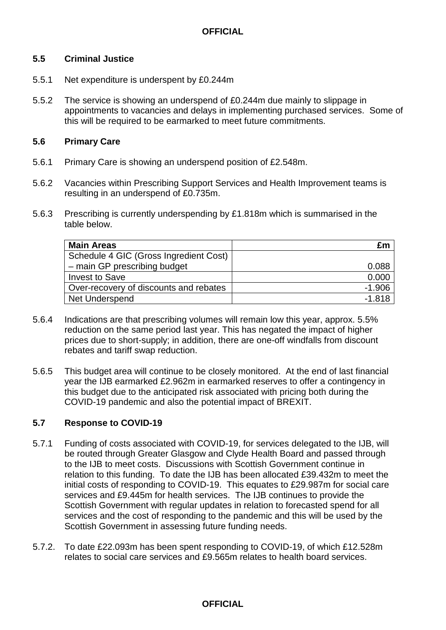# **5.5 Criminal Justice**

- 5.5.1 Net expenditure is underspent by £0.244m
- 5.5.2 The service is showing an underspend of £0.244m due mainly to slippage in appointments to vacancies and delays in implementing purchased services. Some of this will be required to be earmarked to meet future commitments.

# **5.6 Primary Care**

- 5.6.1 Primary Care is showing an underspend position of £2.548m.
- 5.6.2 Vacancies within Prescribing Support Services and Health Improvement teams is resulting in an underspend of £0.735m.
- 5.6.3 Prescribing is currently underspending by £1.818m which is summarised in the table below.

| <b>Main Areas</b>                      | £m       |
|----------------------------------------|----------|
| Schedule 4 GIC (Gross Ingredient Cost) |          |
| - main GP prescribing budget           | 0.088    |
| <b>Invest to Save</b>                  | 0.000    |
| Over-recovery of discounts and rebates | $-1.906$ |
| <b>Net Underspend</b>                  | $-1.818$ |

- 5.6.4 Indications are that prescribing volumes will remain low this year, approx. 5.5% reduction on the same period last year. This has negated the impact of higher prices due to short-supply; in addition, there are one-off windfalls from discount rebates and tariff swap reduction.
- 5.6.5 This budget area will continue to be closely monitored. At the end of last financial year the IJB earmarked £2.962m in earmarked reserves to offer a contingency in this budget due to the anticipated risk associated with pricing both during the COVID-19 pandemic and also the potential impact of BREXIT.

# **5.7 Response to COVID-19**

- 5.7.1 Funding of costs associated with COVID-19, for services delegated to the IJB, will be routed through Greater Glasgow and Clyde Health Board and passed through to the IJB to meet costs. Discussions with Scottish Government continue in relation to this funding. To date the IJB has been allocated £39.432m to meet the initial costs of responding to COVID-19. This equates to £29.987m for social care services and £9.445m for health services. The IJB continues to provide the Scottish Government with regular updates in relation to forecasted spend for all services and the cost of responding to the pandemic and this will be used by the Scottish Government in assessing future funding needs.
- 5.7.2. To date £22.093m has been spent responding to COVID-19, of which £12.528m relates to social care services and £9.565m relates to health board services.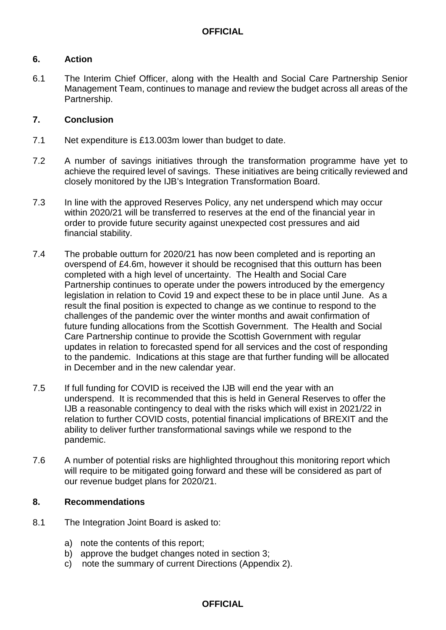# **6. Action**

6.1 The Interim Chief Officer, along with the Health and Social Care Partnership Senior Management Team, continues to manage and review the budget across all areas of the Partnership.

## **7. Conclusion**

- 7.1 Net expenditure is £13.003m lower than budget to date.
- 7.2 A number of savings initiatives through the transformation programme have yet to achieve the required level of savings. These initiatives are being critically reviewed and closely monitored by the IJB's Integration Transformation Board.
- 7.3 In line with the approved Reserves Policy, any net underspend which may occur within 2020/21 will be transferred to reserves at the end of the financial year in order to provide future security against unexpected cost pressures and aid financial stability.
- 7.4 The probable outturn for 2020/21 has now been completed and is reporting an overspend of £4.6m, however it should be recognised that this outturn has been completed with a high level of uncertainty. The Health and Social Care Partnership continues to operate under the powers introduced by the emergency legislation in relation to Covid 19 and expect these to be in place until June. As a result the final position is expected to change as we continue to respond to the challenges of the pandemic over the winter months and await confirmation of future funding allocations from the Scottish Government. The Health and Social Care Partnership continue to provide the Scottish Government with regular updates in relation to forecasted spend for all services and the cost of responding to the pandemic. Indications at this stage are that further funding will be allocated in December and in the new calendar year.
- 7.5 If full funding for COVID is received the IJB will end the year with an underspend. It is recommended that this is held in General Reserves to offer the IJB a reasonable contingency to deal with the risks which will exist in 2021/22 in relation to further COVID costs, potential financial implications of BREXIT and the ability to deliver further transformational savings while we respond to the pandemic.
- 7.6 A number of potential risks are highlighted throughout this monitoring report which will require to be mitigated going forward and these will be considered as part of our revenue budget plans for 2020/21.

#### **8. Recommendations**

- 8.1 The Integration Joint Board is asked to:
	- a) note the contents of this report;
	- b) approve the budget changes noted in section 3;
	- c) note the summary of current Directions (Appendix 2).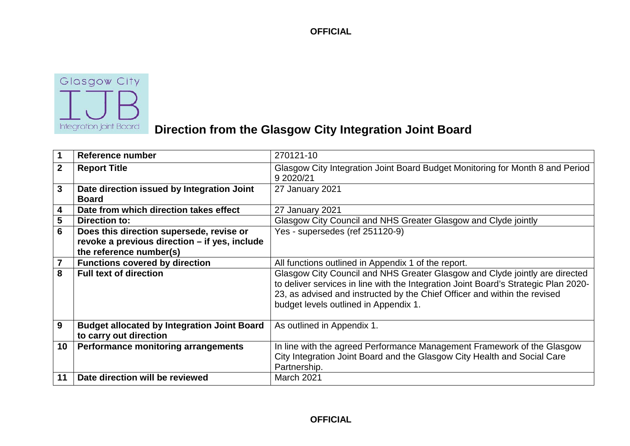

# **Direction from the Glasgow City Integration Joint Board**

| 1                       | Reference number                                                                                                     | 270121-10                                                                                                                                                                                                                                                                                |
|-------------------------|----------------------------------------------------------------------------------------------------------------------|------------------------------------------------------------------------------------------------------------------------------------------------------------------------------------------------------------------------------------------------------------------------------------------|
| $\overline{2}$          | <b>Report Title</b>                                                                                                  | Glasgow City Integration Joint Board Budget Monitoring for Month 8 and Period<br>9 2020/21                                                                                                                                                                                               |
| 3                       | Date direction issued by Integration Joint<br><b>Board</b>                                                           | 27 January 2021                                                                                                                                                                                                                                                                          |
| 4                       | Date from which direction takes effect                                                                               | 27 January 2021                                                                                                                                                                                                                                                                          |
| 5                       | <b>Direction to:</b>                                                                                                 | Glasgow City Council and NHS Greater Glasgow and Clyde jointly                                                                                                                                                                                                                           |
| 6                       | Does this direction supersede, revise or<br>revoke a previous direction – if yes, include<br>the reference number(s) | Yes - supersedes (ref 251120-9)                                                                                                                                                                                                                                                          |
| $\overline{\mathbf{7}}$ | <b>Functions covered by direction</b>                                                                                | All functions outlined in Appendix 1 of the report.                                                                                                                                                                                                                                      |
| 8                       | <b>Full text of direction</b>                                                                                        | Glasgow City Council and NHS Greater Glasgow and Clyde jointly are directed<br>to deliver services in line with the Integration Joint Board's Strategic Plan 2020-<br>23, as advised and instructed by the Chief Officer and within the revised<br>budget levels outlined in Appendix 1. |
| 9                       | <b>Budget allocated by Integration Joint Board</b><br>to carry out direction                                         | As outlined in Appendix 1.                                                                                                                                                                                                                                                               |
| 10                      | <b>Performance monitoring arrangements</b>                                                                           | In line with the agreed Performance Management Framework of the Glasgow<br>City Integration Joint Board and the Glasgow City Health and Social Care<br>Partnership.                                                                                                                      |
| 11                      | Date direction will be reviewed                                                                                      | March 2021                                                                                                                                                                                                                                                                               |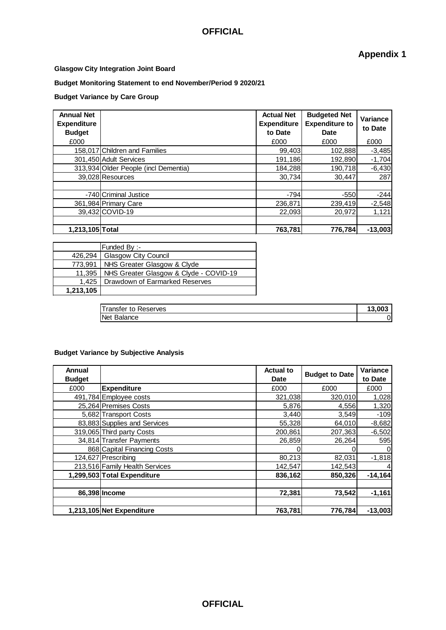**Appendix 1**

#### **Glasgow City Integration Joint Board**

#### **Budget Monitoring Statement to end November/Period 9 2020/21**

#### **Budget Variance by Care Group**

| <b>Annual Net</b><br><b>Expenditure</b><br><b>Budget</b><br>£000 |                                      | <b>Actual Net</b><br><b>Expenditure</b><br>to Date<br>£000 | <b>Budgeted Net</b><br><b>Expenditure to</b><br>Date<br>£000 | <b>Variance</b><br>to Date<br>£000 |
|------------------------------------------------------------------|--------------------------------------|------------------------------------------------------------|--------------------------------------------------------------|------------------------------------|
|                                                                  | 158.017 Children and Families        | 99,403                                                     | 102,888                                                      | $-3,485$                           |
|                                                                  | 301,450 Adult Services               | 191,186                                                    | 192,890                                                      | $-1,704$                           |
|                                                                  | 313,934 Older People (incl Dementia) | 184,288                                                    | 190,718                                                      | $-6,430$                           |
|                                                                  | 39,028 Resources                     | 30,734                                                     | 30.447                                                       | 287                                |
|                                                                  |                                      |                                                            |                                                              |                                    |
|                                                                  | -740 Criminal Justice                | $-794$                                                     | $-550$                                                       | $-244$                             |
|                                                                  | 361,984 Primary Care                 | 236.871                                                    | 239.419                                                      | $-2,548$                           |
|                                                                  | 39,432 COVID-19                      | 22,093                                                     | 20,972                                                       | 1,121                              |
|                                                                  |                                      |                                                            |                                                              |                                    |
| 1.213.105 Total                                                  |                                      | 763,781                                                    | 776.784                                                      | $-13,003$                          |

|           | Funded By:-                            |
|-----------|----------------------------------------|
| 426.294   | <b>Glasgow City Council</b>            |
| 773.991   | NHS Greater Glasgow & Clyde            |
| $11.395$  | NHS Greater Glasgow & Clyde - COVID-19 |
| 1.425     | Drawdown of Earmarked Reserves         |
| 1,213,105 |                                        |

| ransfer to R<br>'eserves |    |
|--------------------------|----|
| <b>INe</b>               | -  |
| nce.                     | J' |

#### **Budget Variance by Subjective Analysis**

| Annual        |                                | <b>Actual to</b> | <b>Budget to Date</b> | Variance       |
|---------------|--------------------------------|------------------|-----------------------|----------------|
| <b>Budget</b> |                                | Date             |                       | to Date        |
| £000          | <b>Expenditure</b>             | £000             | £000                  | £000           |
|               | 491,784 Employee costs         | 321,038          | 320,010               | 1,028          |
|               | 25,264 Premises Costs          | 5,876            | 4,556                 | 1,320          |
|               | 5,682 Transport Costs          | 3,440            | 3,549                 | $-109$         |
|               | 83,883 Supplies and Services   | 55,328           | 64,010                | $-8,682$       |
|               | 319,065 Third party Costs      | 200,861          | 207,363               | $-6,502$       |
|               | 34,814 Transfer Payments       | 26,859           | 26,264                | 595            |
|               | 868 Capital Financing Costs    |                  |                       | $\overline{0}$ |
|               | 124,627 Prescribing            | 80,213           | 82,031                | $-1,818$       |
|               | 213,516 Family Health Services | 142,547          | 142,543               | 4              |
|               | 1,299,503 Total Expenditure    | 836,162          | 850,326               | $-14,164$      |
|               |                                |                  |                       |                |
|               | 86,398 Income                  | 72,381           | 73,542                | $-1,161$       |
|               |                                |                  |                       |                |
|               | 1,213,105 Net Expenditure      | 763,781          | 776,784               | $-13,003$      |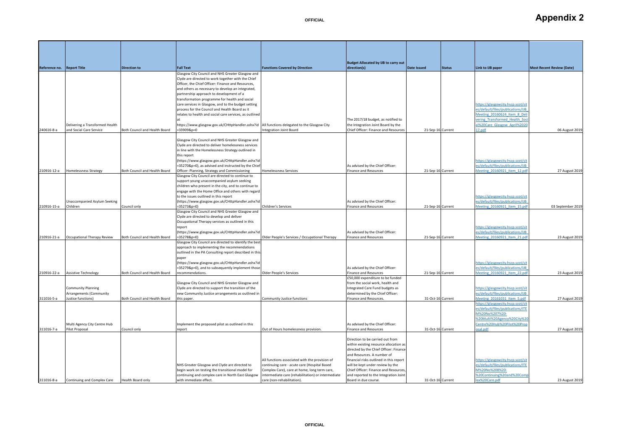| Reference no. Report Title |                                 | <b>Direction to</b>           | <b>Full Text</b>                                                                                          | <b>Functions Covered by Direction</b>                                                              | <b>Budget Allocated by IJB to carry out</b><br>direction(s)                    | Date Issued       | <b>Status</b> | Link to IJB paper                                                      | <b>Most Recent Review (Date)</b> |
|----------------------------|---------------------------------|-------------------------------|-----------------------------------------------------------------------------------------------------------|----------------------------------------------------------------------------------------------------|--------------------------------------------------------------------------------|-------------------|---------------|------------------------------------------------------------------------|----------------------------------|
|                            |                                 |                               | Glasgow City Council and NHS Greater Glasgow and                                                          |                                                                                                    |                                                                                |                   |               |                                                                        |                                  |
|                            |                                 |                               | Clyde are directed to work together with the Chief<br>Officer, the Chief Officer: Finance and Resources,  |                                                                                                    |                                                                                |                   |               |                                                                        |                                  |
|                            |                                 |                               | and others as necessary to develop an integrated,                                                         |                                                                                                    |                                                                                |                   |               |                                                                        |                                  |
|                            |                                 |                               | partnership approach to development of a                                                                  |                                                                                                    |                                                                                |                   |               |                                                                        |                                  |
|                            |                                 |                               | transformation programme for health and social                                                            |                                                                                                    |                                                                                |                   |               |                                                                        |                                  |
|                            |                                 |                               | care services in Glasgow, and to the budget setting                                                       |                                                                                                    |                                                                                |                   |               | https://glasgowcity.hscp.scot/si                                       |                                  |
|                            |                                 |                               | process for the Council and Health Board as it<br>relates to health and social care services, as outlined |                                                                                                    |                                                                                |                   |               | es/default/files/publications/IJB<br>Meeting 20160624 Item 8 Del       |                                  |
|                            |                                 |                               |                                                                                                           |                                                                                                    | The 2017/18 budget, as notified to                                             |                   |               | vering_Transformed_Health_Sor                                          |                                  |
|                            | Delivering a Transformed Health |                               | https://www.glasgow.gov.uk/CHttpHandler.ashx?id                                                           | All functions delegated to the Glasgow City                                                        | the Integration Joint Board by the                                             |                   |               | al%20Care_Glasgow_April%202                                            |                                  |
| 240616-8-a                 | and Social Care Service         | Both Council and Health Board | $= 339098p = 0$                                                                                           | ntegration Joint Board                                                                             | Chief Officer: Finance and Resources                                           | 21-Sep-16 Current |               | 17.pdf                                                                 | 06 August 2019                   |
|                            |                                 |                               | Glasgow City Council and NHS Greater Glasgow and                                                          |                                                                                                    |                                                                                |                   |               |                                                                        |                                  |
|                            |                                 |                               | Clyde are directed to deliver homelessness services                                                       |                                                                                                    |                                                                                |                   |               |                                                                        |                                  |
|                            |                                 |                               | in line with the Homelessness Strategy outlined in                                                        |                                                                                                    |                                                                                |                   |               |                                                                        |                                  |
|                            |                                 |                               | this report                                                                                               |                                                                                                    |                                                                                |                   |               |                                                                        |                                  |
|                            |                                 |                               | (https://www.glasgow.gov.uk/CHttpHandler.ashx?id                                                          |                                                                                                    |                                                                                |                   |               | https://glasgowcity.hscp.scot/sit<br>es/default/files/publications/IJB |                                  |
| 210916-12-a                | Homelessness Strategy           | Both Council and Health Board | =35270&p=0), as advised and instructed by the Chief<br>Officer: Planning, Strategy and Commissioning      | Homelessness Services                                                                              | As advised by the Chief Officer:<br><b>Finance and Resources</b>               | 21-Sep-16 Current |               | Meeting_20160921_Item_12.pd                                            | 27 August 201                    |
|                            |                                 |                               | Glasgow City Council are directed to continue to                                                          |                                                                                                    |                                                                                |                   |               |                                                                        |                                  |
|                            |                                 |                               | support young unaccompanied asylum seeking                                                                |                                                                                                    |                                                                                |                   |               |                                                                        |                                  |
|                            |                                 |                               | children who present in the city, and to continue to                                                      |                                                                                                    |                                                                                |                   |               |                                                                        |                                  |
|                            |                                 |                               | engage with the Home Office and others with regard                                                        |                                                                                                    |                                                                                |                   |               |                                                                        |                                  |
|                            | Unaccompanied Asylum Seeking    |                               | to the issues outlined in this report<br>(https://www.glasgow.gov.uk/CHttpHandler.ashx?id                 |                                                                                                    | As advised by the Chief Officer:                                               |                   |               | https://glasgowcity.hscp.scot/sit<br>es/default/files/publications/IJB |                                  |
| 210916-15-a                | Children                        | Council only                  | $=35273&p=0$                                                                                              | Children's Services                                                                                | <b>Finance and Resources</b>                                                   | 21-Sep-16 Current |               | Meeting 20160921 Item 15.pd                                            | 03 September 201                 |
|                            |                                 |                               | Glasgow City Council and NHS Greater Glasgow and                                                          |                                                                                                    |                                                                                |                   |               |                                                                        |                                  |
|                            |                                 |                               | Clyde are directed to develop and deliver                                                                 |                                                                                                    |                                                                                |                   |               |                                                                        |                                  |
|                            |                                 |                               | Occupational Therapy services as outlined in this<br>report                                               |                                                                                                    |                                                                                |                   |               | https://glasgowcity.hscp.scot/sit                                      |                                  |
|                            |                                 |                               | (https://www.glasgow.gov.uk/CHttpHandler.ashx?id                                                          |                                                                                                    | As advised by the Chief Officer:                                               |                   |               | es/default/files/publications/IJB                                      |                                  |
| 210916-21-a                | Occupational Therapy Review     | Both Council and Health Board | $= 352788p = 0$                                                                                           | Older People's Services / Occupational Therapy                                                     | Finance and Resources                                                          | 21-Sep-16 Current |               | Meeting 20160921 Item 21.pd                                            | 23 August 2019                   |
|                            |                                 |                               | Glasgow City Council are directed to identify the best                                                    |                                                                                                    |                                                                                |                   |               |                                                                        |                                  |
|                            |                                 |                               | approach to implementing the recommendations                                                              |                                                                                                    |                                                                                |                   |               |                                                                        |                                  |
|                            |                                 |                               | outlined in the PA Consulting report described in this<br>paper                                           |                                                                                                    |                                                                                |                   |               |                                                                        |                                  |
|                            |                                 |                               | (https://www.glasgow.gov.uk/CHttpHandler.ashx?id                                                          |                                                                                                    |                                                                                |                   |               | https://glasgowcity.hscp.scot/sit                                      |                                  |
|                            |                                 |                               | =35279&p=0), and to subsequently implement those                                                          |                                                                                                    | As advised by the Chief Officer:                                               |                   |               | es/default/files/publications/IJB                                      |                                  |
| 210916-22-a                | <b>Assistive Technology</b>     | Both Council and Health Board | recommendations.                                                                                          | Older People's Services                                                                            | <b>Finance and Resources</b>                                                   | 21-Sep-16 Current |               | Meeting_20160921_Item_22.pd                                            | 23 August 2019                   |
|                            |                                 |                               |                                                                                                           |                                                                                                    | £50,000 expenditure to be funded<br>from the social work, health and           |                   |               |                                                                        |                                  |
|                            | Community Planning              |                               | Glasgow City Council and NHS Greater Glasgow and<br>Clyde are directed to support the transition of the   |                                                                                                    | Integrated Care Fund budgets as                                                |                   |               | https://glasgowcity.hscp.scot/si                                       |                                  |
|                            | Arrangements (Community         |                               | new Community Justice arrangements as outlined in                                                         |                                                                                                    | determined by the Chief Officer:                                               |                   |               | es/default/files/publications/IJB                                      |                                  |
| 311016-5-a                 | Justice functions)              | Both Council and Health Board | this paper.                                                                                               | <b>Community Justice functions</b>                                                                 | Finance and Resources.                                                         | 31-Oct-16 Current |               | Meeting 20161031 Item 5.pdf                                            | 27 August 201                    |
|                            |                                 |                               |                                                                                                           |                                                                                                    |                                                                                |                   |               | https://glasgowcity.hscp.scot/si                                       |                                  |
|                            |                                 |                               |                                                                                                           |                                                                                                    |                                                                                |                   |               | es/default/files/publications/ITE<br>M%20No%207%20-                    |                                  |
|                            |                                 |                               |                                                                                                           |                                                                                                    |                                                                                |                   |               | %20Multi%20Agency%20City%20                                            |                                  |
|                            | Multi Agency City Centre Hub    |                               | Implement the proposed pilot as outlined in this                                                          |                                                                                                    | As advised by the Chief Officer:                                               |                   |               | Centre%20Hub%20Pilot%20Pro                                             |                                  |
| 311016-7-a                 | Pilot Proposal                  | Council only                  | report                                                                                                    | Out of Hours homelessness provision.                                                               | Finance and Resources                                                          | 31-Oct-16 Current |               | osal.pdf                                                               | 27 August 2019                   |
|                            |                                 |                               |                                                                                                           |                                                                                                    | Direction to be carried out from                                               |                   |               |                                                                        |                                  |
|                            |                                 |                               |                                                                                                           |                                                                                                    | within existing resource allocation as                                         |                   |               |                                                                        |                                  |
|                            |                                 |                               |                                                                                                           |                                                                                                    | directed by the Chief Officer: Finance                                         |                   |               |                                                                        |                                  |
|                            |                                 |                               |                                                                                                           |                                                                                                    | and Resources. A number of                                                     |                   |               |                                                                        |                                  |
|                            |                                 |                               |                                                                                                           | All functions associated with the provision of                                                     | financial risks outlined in this report                                        |                   |               | https://glasgowcity.hscp.scot/sit                                      |                                  |
|                            |                                 |                               | NHS Greater Glasgow and Clyde are directed to                                                             | continuing care - acute care (Hospital Based                                                       | will be kept under review by the                                               |                   |               | es/default/files/publications/ITE<br>M%20No%208%20-                    |                                  |
|                            |                                 |                               | begin work on testing the transitional model for<br>continuing and complex care in North East Glasgow     | Complex Care), care at home, long term care,<br>intermediate care (rehabilitation) or intermediate | Chief Officer: Finance and Resources,<br>and reported to the Integration Joint |                   |               | %20Continuing%20and%20Con                                              |                                  |
| 311016-8-a                 | Continuing and Complex Care     | Health Board only             | with immediate effect.                                                                                    | care (non-rehabilitation).                                                                         | Board in due course.                                                           | 31-Oct-16 Current |               | lex%20Care.pdf                                                         | 23 August 2019                   |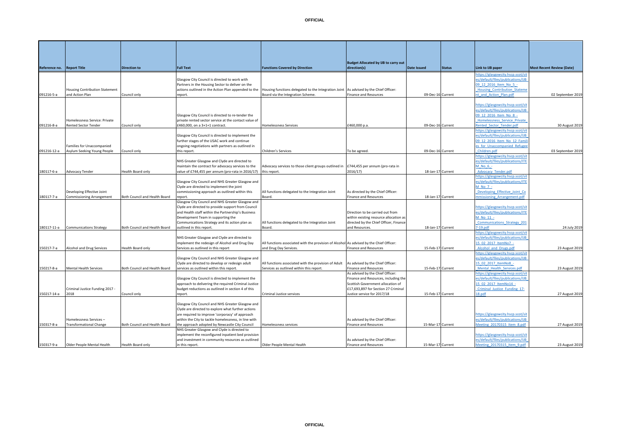**Reference no. Report Title Direction to Full Text Functions Covered by Direction**

091216-5-a

091216-8-a

| <b>Housing Contribution Statement</b>                        |                   | Glasgow City Council is directed to work with<br>Partners in the Housing Sector to deliver on the<br>actions outlined in the Action Plan appended to the               | Housing functions delegated to the Integration Joint As advised by the Chief Officer: |                                            |                   | https://glasgowcity.hscp.scot/sit<br>es/default/files/publications/IJB<br>09 12 2016 Item No 5 -<br><b>Housing Contribution Stateme</b>                      |  |
|--------------------------------------------------------------|-------------------|------------------------------------------------------------------------------------------------------------------------------------------------------------------------|---------------------------------------------------------------------------------------|--------------------------------------------|-------------------|--------------------------------------------------------------------------------------------------------------------------------------------------------------|--|
| and Action Plan                                              | Council only      | report.                                                                                                                                                                | Board via the Integration Scheme.                                                     | <b>Finance and Resources</b>               | 09-Dec-16 Current | nt and Action Plan.pdf                                                                                                                                       |  |
| Homelessness Service: Private<br><b>Rented Sector Tender</b> | Council only      | Glasgow City Council is directed to re-tender the<br>private rented sector service at the contact value of<br>£460,000, on a 3+1+1 contract.                           | <b>Homelessness Services</b>                                                          | £460,000 p.a.                              | 09-Dec-16 Current | https://glasgowcity.hscp.scot/sit<br>es/default/files/publications/IJB<br>09 12 2016 Item No 8 -<br>Homelessness Service Private<br>Rented Sector Tender.pdf |  |
| Families for Unaccompanied<br>Asylum Seeking Young People    | Council only      | Glasgow City Council is directed to implement the<br>further stages of the USAC work and continue<br>ongoing negotiations with partners as outlined in<br>this report. | Children's Services                                                                   | To be agreed.                              | 09-Dec-16 Current | https://glasgowcity.hscp.scot/sit<br>es/default/files/publications/IJB<br>09 12 2016 Item No 12 Famil<br>es for Unaccompanied Refugee<br>Children.pdf        |  |
| <b>Advocacy Tender</b>                                       | Health Board only | NHS Greater Glasgow and Clyde are directed to<br>maintain the contract for advocacy services to the<br>value of £744,455 per annum (pro-rata in 2016/17)               | Advocacy services to those client groups outlined in<br>this report.                  | £744,455 per annum (pro-rata in<br>2016/17 | 18-Jan-17 Current | https://glasgowcity.hscp.scot/sit<br>es/default/files/publications/ITE<br>$M$ No $6 -$<br><b>Advocacy Tender.pdf</b>                                         |  |
| Douglasing Effective Islat                                   |                   | Glasgow City Council and NHS Greater Glasgow and<br>Clyde are directed to implement the joint<br>commissioning conseconds or quelinod within this                      | All functions delegated to the Integration Injut-                                     | As disposed by the Chief Officers          |                   | https://glasgowcity.hscp.scot/sit<br>es/default/files/publications/ITE<br>M No 7 -<br>Douglasing Effective Islat Co.                                         |  |

**Budget Allocated by IJB to carry out direction(s) Date Issued Status Link to IJB paper Most Recent Review (Date)**

02 September 2019

30 August 2019

|             |                                  |                               | Glasgow City Council is directed to implement the    |                                                                                         |                                        |                   | es/default/files/publications/IJB |                   |
|-------------|----------------------------------|-------------------------------|------------------------------------------------------|-----------------------------------------------------------------------------------------|----------------------------------------|-------------------|-----------------------------------|-------------------|
|             |                                  |                               | further stages of the USAC work and continue         |                                                                                         |                                        |                   | 09 12 2016 Item No 12 Famil       |                   |
|             | Families for Unaccompanied       |                               | ongoing negotiations with partners as outlined in    |                                                                                         |                                        |                   | es for Unaccompanied Refugee      |                   |
| 091216-12-a | Asylum Seeking Young People      | Council only                  | this report.                                         | Children's Services                                                                     | To be agreed.                          | 09-Dec-16 Current | Children.pdf                      | 03 September 2019 |
|             |                                  |                               |                                                      |                                                                                         |                                        |                   | https://glasgowcity.hscp.scot/sit |                   |
|             |                                  |                               | NHS Greater Glasgow and Clyde are directed to        |                                                                                         |                                        |                   | es/default/files/publications/ITE |                   |
|             |                                  |                               | maintain the contract for advocacy services to the   | Advocacy services to those client groups outlined in £744,455 per annum (pro-rata in    |                                        |                   | $M$ No $6 -$                      |                   |
| 180117-6-a  | <b>Advocacy Tender</b>           | Health Board only             | value of £744,455 per annum (pro-rata in 2016/17)    | this report.                                                                            | 2016/17)                               | 18-Jan-17 Current | Advocacy_Tender.pdf               |                   |
|             |                                  |                               |                                                      |                                                                                         |                                        |                   | https://glasgowcity.hscp.scot/sit |                   |
|             |                                  |                               | Glasgow City Council and NHS Greater Glasgow and     |                                                                                         |                                        |                   | es/default/files/publications/ITE |                   |
|             |                                  |                               | Clyde are directed to implement the joint            |                                                                                         |                                        |                   | M No 7 -                          |                   |
|             | Developing Effective Joint       |                               | commissioning approach as outlined within this       | All functions delegated to the Integration Joint                                        | As directed by the Chief Officer:      |                   | Developing Effective Joint Co     |                   |
| 180117-7-a  | <b>Commissioning Arrangement</b> | Both Council and Health Board | report.                                              | Board.                                                                                  | Finance and Resources                  | 18-Jan-17 Current | nmissioning Arrangement.pdf       |                   |
|             |                                  |                               | Glasgow City Council and NHS Greater Glasgow and     |                                                                                         |                                        |                   |                                   |                   |
|             |                                  |                               | Clyde are directed to provide support from Council   |                                                                                         |                                        |                   | https://glasgowcity.hscp.scot/sit |                   |
|             |                                  |                               | and Health staff within the Partnership's Business   |                                                                                         | Direction to be carried out from       |                   | es/default/files/publications/ITE |                   |
|             |                                  |                               | Development Team in supporting the                   |                                                                                         | within existing resource allocation as |                   | M No 11 -                         |                   |
|             |                                  |                               | Communications Strategy and its action plan as       | All functions delegated to the Integration Joint                                        | directed by the Chief Officer, Finance |                   | Communications Strategy 201       |                   |
| 180117-11-a | <b>Communications Strategy</b>   | Both Council and Health Board | outlined in this report.                             | Board.                                                                                  | and Resources.                         | 18-Jan-17 Current | $7-19$ .pdf                       | 24 July 2019      |
|             |                                  |                               |                                                      |                                                                                         |                                        |                   | ttps://glasgowcity.hscp.scot/sit  |                   |
|             |                                  |                               | NHS Greater Glasgow and Clyde are directed to        |                                                                                         |                                        |                   | es/default/files/publications/IJB |                   |
|             |                                  |                               | implement the redesign of Alcohol and Drug Day       | All functions associated with the provision of Alcohol As advised by the Chief Officer: |                                        |                   | 15 02 2017 ItemNo7 -              |                   |
| 150217-7-a  | Alcohol and Drug Services        | Health Board only             | Services as outlined in this report                  | and Drug Day Services.                                                                  | <b>Finance and Resources</b>           | 15-Feb-17 Current | Alcohol and Drugs.pdf             | 23 August 2019    |
|             |                                  |                               |                                                      |                                                                                         |                                        |                   | ttps://glasgowcity.hscp.scot/sit  |                   |
|             |                                  |                               | Glasgow City Council and NHS Greater Glasgow and     |                                                                                         |                                        |                   | es/default/files/publications/IJB |                   |
|             |                                  |                               | Clyde are directed to develop or redesign adult      | All functions associated with the provision of Adult                                    | As advised by the Chief Officer:       |                   | 15 02 2017 ItemNo8 -              |                   |
| 150217-8-a  | <b>Mental Health Services</b>    | Both Council and Health Board | services as outlined within this report.             | Services as outlined within this report.                                                | <b>Finance and Resources</b>           | 15-Feb-17 Current | Mental Health Services.pdf        | 23 August 2019    |
|             |                                  |                               |                                                      |                                                                                         | As advised by the Chief Officer:       |                   | https://glasgowcity.hscp.scot/sit |                   |
|             |                                  |                               | Glasgow City Council is directed to implement the    |                                                                                         | Finance and Resources, including the   |                   | es/default/files/publications/IJB |                   |
|             |                                  |                               | approach to delivering the required Criminal Justice |                                                                                         | Scottish Government allocation of      |                   | 15 02 2017 ItemNo14 -             |                   |
|             | Criminal Justice Funding 2017 -  |                               | budget reductions as outlined in section 4 of this   |                                                                                         | £17,693,897 for Section 27 Criminal    |                   | Criminal Justice Funding 17-      |                   |
| 150217-14-a | 2018                             | Council only                  | report.                                              | <b>Criminal Justice services</b>                                                        | Justice service for 2017/18            | 15-Feb-17 Current | 18.pdf                            | 27 August 2019    |
|             |                                  |                               |                                                      |                                                                                         |                                        |                   |                                   |                   |
|             |                                  |                               | Glasgow City Council and NHS Greater Glasgow and     |                                                                                         |                                        |                   |                                   |                   |
|             |                                  |                               | Clyde are directed to explore what further actions   |                                                                                         |                                        |                   |                                   |                   |
|             |                                  |                               | are required to improve 'corporacy' of approach      |                                                                                         |                                        |                   | https://glasgowcity.hscp.scot/sit |                   |
|             | Homelessness Services -          |                               | within the City to tackle homelessness, in line with |                                                                                         | As advised by the Chief Officer:       |                   | es/default/files/publications/IJB |                   |
| 150317-8-a  | <b>Transformational Change</b>   | Both Council and Health Board | the approach adopted by Newcastle City Council       | Homelessness services                                                                   | <b>Finance and Resources</b>           | 15-Mar-17 Current | Meeting 20170315 Item 8.pdf       | 27 August 2019    |
|             |                                  |                               | NHS Greater Glasgow and Clyde is directed to         |                                                                                         |                                        |                   |                                   |                   |
|             |                                  |                               | implement the reconfigured inpatient bed provision   |                                                                                         |                                        |                   | https://glasgowcity.hscp.scot/sit |                   |
|             |                                  |                               | and investment in community resources as outlined    |                                                                                         | As advised by the Chief Officer:       |                   | es/default/files/publications/IJB |                   |
| 150317-9-a  | Older People Mental Health       | Health Board only             | in this report.                                      | Older People Mental Health                                                              | Finance and Resources                  | 15-Mar-17 Current | Meeting 20170315 Item 9.pdf       | 23 August 2019    |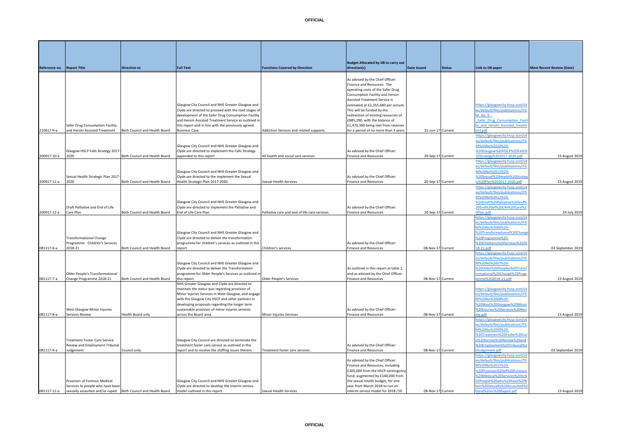|              |                               |                                                       |                                                | As advised by the Chief Officer:     |                   |                                   |                   |
|--------------|-------------------------------|-------------------------------------------------------|------------------------------------------------|--------------------------------------|-------------------|-----------------------------------|-------------------|
|              |                               |                                                       |                                                | Finance and Resources. The           |                   |                                   |                   |
|              |                               |                                                       |                                                | operating costs of the Safer Drug    |                   |                                   |                   |
|              |                               |                                                       |                                                | Consumption Facility and Heroin      |                   |                                   |                   |
|              |                               |                                                       |                                                | <b>Assisted Treatment Service is</b> |                   |                                   |                   |
|              |                               | Glasgow City Council and NHS Greater Glasgow and      |                                                | estimated at £2,355,680 per annum.   |                   | https://glasgowcity.hscp.scot/sit |                   |
|              |                               | Clyde are directed to proceed with the next stages of |                                                | This will be funded by the           |                   | es/default/files/publications/ITE |                   |
|              |                               | development of the Safer Drug Consumption Facility    |                                                | redirection of existing resources of |                   | M No 9 -                          |                   |
|              |                               |                                                       |                                                | £885.290, with the balance of        |                   | Safer Drug Consumption Facili     |                   |
|              |                               | and Heroin Assisted Treatment Service as outlined in  |                                                |                                      |                   |                                   |                   |
| on Facility  |                               | this report and in line with the previously agreed    |                                                | £1,470,390 being met from reserves   |                   | ty and Heroin Assisted Treatm     |                   |
| reatment     | Both Council and Health Board | <b>Business Case.</b>                                 | Addiction Services and related supports.       | for a period of no more than 3 years | 21-Jun-17 Current | ent.pdf                           |                   |
|              |                               |                                                       |                                                |                                      |                   | https://glasgowcity.hscp.scot/sit |                   |
|              |                               |                                                       |                                                |                                      |                   | es/default/files/publications/ITE |                   |
|              |                               | Glasgow City Council and NHS Greater Glasgow and      |                                                |                                      |                   | M%20No%2010%20-                   |                   |
| rategy 2017  |                               | Clyde are directed to implement the Falls Strategy    |                                                | As advised by the Chief Officer:     |                   | %20Glasgow%20HSCP%20Falls%        |                   |
|              | Both Council and Health Board | appended to this report                               | All health and social care services            | <b>Finance and Resources</b>         | 20-Sep-17 Current | 20Strategy%202017-2020.pdf        | 23 August 2019    |
|              |                               |                                                       |                                                |                                      |                   | https://glasgowcity.hscp.scot/sit |                   |
|              |                               |                                                       |                                                |                                      |                   | es/default/files/publications/ITE |                   |
|              |                               | Glasgow City Council and NHS Greater Glasgow and      |                                                |                                      |                   | M%20No%2011%20-                   |                   |
| c Plan 2017- |                               | Clyde are directed to the implement the Sexual        |                                                | As advised by the Chief Officer:     |                   | %20Sexual%20Health%20Strateg      |                   |
|              | Both Council and Health Board | Health Strategic Plan 2017-2020.                      | <b>Sexual Health Services</b>                  | <b>Finance and Resources</b>         | 20-Sep-17 Current | ic%20Plan%202017-2020.pdf         | 23 August 2019    |
|              |                               |                                                       |                                                |                                      |                   | https://glasgowcity.hscp.scot/sit |                   |
|              |                               |                                                       |                                                |                                      |                   | es/default/files/publications/ITE |                   |
|              |                               |                                                       |                                                |                                      |                   | M%20No%2012%20-                   |                   |
|              |                               | Glasgow City Council and NHS Greater Glasgow and      |                                                |                                      |                   | %20Draft%20Palliative%20and%      |                   |
| d of Life    |                               | Clyde are directed to implement the Palliative and    |                                                | As advised by the Chief Officer:     |                   | 20End%20of%20Life%20Care%2        |                   |
|              | Both Council and Health Board | End of Life Care Plan                                 | Palliative care and end of life care services. | <b>Finance and Resources</b>         | 20-Sep-17 Current | OPlan.pdf                         | 24 July 2019      |
|              |                               |                                                       |                                                |                                      |                   | https://glasgowcity.hscp.scot/sit |                   |
|              |                               |                                                       |                                                |                                      |                   | es/default/files/publications/ITE |                   |
|              |                               |                                                       |                                                |                                      |                   | M%20No%2006%20-                   |                   |
|              |                               | Glasgow City Council and NHS Greater Glasgow and      |                                                |                                      |                   | %20Transformational%20Change      |                   |
| nge          |                               | Clyde are directed to deliver the transformation      |                                                |                                      |                   | %20Programme%20-                  |                   |
| 's Services  |                               | programme for children's services as outlined in this |                                                | As advised by the Chief Officer:     |                   | %20Childrens%20Services%2020      |                   |
|              | Both Council and Health Board | report.                                               | Children's services                            | <b>Finance and Resources</b>         | 08-Nov-17 Current | 18-21.pdf                         | 03 September 2019 |
|              |                               |                                                       |                                                |                                      |                   | https://glasgowcity.hscp.scot/sit |                   |
|              |                               |                                                       |                                                |                                      |                   | es/default/files/publications/ITE |                   |
|              |                               | Glasgow City Council and NHS Greater Glasgow and      |                                                |                                      |                   | M%20No%2007%20-                   |                   |
|              |                               | .                                                     |                                                | $-100 - 100 - 100 = 100$             |                   |                                   |                   |

**Budget Allocated by IJB to carry out** 

**diate Issued direction (Status Date Issued Status Zimit to IJB paper Most Recent Review (Date)** 

 $\frac{1}{2}$ ity hecn scot/sit $\frac{1}{2}$ 

|             |                                    |                               |                                                       |                                                | Consumption Facility and Heroin        |                   |                                   |                  |
|-------------|------------------------------------|-------------------------------|-------------------------------------------------------|------------------------------------------------|----------------------------------------|-------------------|-----------------------------------|------------------|
|             |                                    |                               |                                                       |                                                | <b>Assisted Treatment Service is</b>   |                   |                                   |                  |
|             |                                    |                               | Glasgow City Council and NHS Greater Glasgow and      |                                                | estimated at £2,355,680 per annum.     |                   | https://glasgowcity.hscp.scot/sit |                  |
|             |                                    |                               | Clyde are directed to proceed with the next stages of |                                                | This will be funded by the             |                   | es/default/files/publications/ITE |                  |
|             |                                    |                               | development of the Safer Drug Consumption Facility    |                                                | redirection of existing resources of   |                   | $M$ No $9 -$                      |                  |
|             |                                    |                               | and Heroin Assisted Treatment Service as outlined in  |                                                | £885,290, with the balance of          |                   | Safer Drug Consumption Faci       |                  |
|             | Safer Drug Consumption Facility    |                               | this report and in line with the previously agreed    |                                                | £1,470,390 being met from reserves     |                   | ty and Heroin Assisted Treatm     |                  |
| 210617-9-a  | and Heroin Assisted Treatment      | Both Council and Health Board | <b>Business Case.</b>                                 | Addiction Services and related supports.       | for a period of no more than 3 years   | 21-Jun-17 Current | ent.pdf                           |                  |
|             |                                    |                               |                                                       |                                                |                                        |                   | https://glasgowcity.hscp.scot/sit |                  |
|             |                                    |                               |                                                       |                                                |                                        |                   | es/default/files/publications/ITE |                  |
|             |                                    |                               | Glasgow City Council and NHS Greater Glasgow and      |                                                |                                        |                   | M%20No%2010%20-                   |                  |
|             | Glasgow HSCP Falls Strategy 2017   |                               | Clyde are directed to implement the Falls Strategy    |                                                | As advised by the Chief Officer:       |                   | %20Glasgow%20HSCP%20Falls%        |                  |
| 200917-10-a | 2020                               | Both Council and Health Board | appended to this report                               | All health and social care services            | <b>Finance and Resources</b>           | 20-Sep-17 Current | 20Strategy%202017-2020.pdf        | 23 August 201    |
|             |                                    |                               |                                                       |                                                |                                        |                   | https://glasgowcity.hscp.scot/sit |                  |
|             |                                    |                               |                                                       |                                                |                                        |                   | es/default/files/publications/ITE |                  |
|             |                                    |                               | Glasgow City Council and NHS Greater Glasgow and      |                                                |                                        |                   | M%20No%2011%20-                   |                  |
|             | Sexual Health Strategic Plan 2017- |                               | Clyde are directed to the implement the Sexual        |                                                | As advised by the Chief Officer:       |                   | %20Sexual%20Health%20Strate       |                  |
| 200917-11-a | 2020                               | Both Council and Health Board | Health Strategic Plan 2017-2020.                      | Sexual Health Services                         | <b>Finance and Resources</b>           | 20-Sep-17 Current | ic%20Plan%202017-2020.pdf         | 23 August 201    |
|             |                                    |                               |                                                       |                                                |                                        |                   | https://glasgowcity.hscp.scot/sit |                  |
|             |                                    |                               |                                                       |                                                |                                        |                   | es/default/files/publications/ITE |                  |
|             |                                    |                               |                                                       |                                                |                                        |                   | M%20No%2012%20-                   |                  |
|             |                                    |                               | Glasgow City Council and NHS Greater Glasgow and      |                                                |                                        |                   | %20Draft%20Palliative%20and%      |                  |
|             | Draft Palliative and End of Life   |                               | Clyde are directed to implement the Palliative and    |                                                | As advised by the Chief Officer:       |                   | 20End%20of%20Life%20Care%2        |                  |
| 200917-12-a | Care Plan                          | Both Council and Health Board | End of Life Care Plan                                 | Palliative care and end of life care services. | <b>Finance and Resources</b>           | 20-Sep-17 Current | OPlan.pdf                         | 24 July 201      |
|             |                                    |                               |                                                       |                                                |                                        |                   | ttps://glasgowcity.hscp.scot/sit  |                  |
|             |                                    |                               |                                                       |                                                |                                        |                   | es/default/files/publications/ITE |                  |
|             |                                    |                               |                                                       |                                                |                                        |                   | M%20No%2006%20-                   |                  |
|             |                                    |                               | Glasgow City Council and NHS Greater Glasgow and      |                                                |                                        |                   | %20Transformational%20Chang       |                  |
|             | <b>Transformational Change</b>     |                               | Clyde are directed to deliver the transformation      |                                                |                                        |                   | %20Programme%20-                  |                  |
|             | Programme - Children's Services    |                               | programme for children's services as outlined in this |                                                | As advised by the Chief Officer:       |                   | %20Childrens%20Services%2020      |                  |
| 081117-6-a  | 2018-21                            | Both Council and Health Board | report.                                               | Children's services                            | <b>Finance and Resources</b>           | 08-Nov-17 Current | 18-21.pdf                         | 03 September 201 |
|             |                                    |                               |                                                       |                                                |                                        |                   | ttps://glasgowcity.hscp.scot/sit  |                  |
|             |                                    |                               |                                                       |                                                |                                        |                   | es/default/files/publications/ITE |                  |
|             |                                    |                               | Glasgow City Council and NHS Greater Glasgow and      |                                                |                                        |                   | M%20No%2007%20-                   |                  |
|             |                                    |                               | Clyde are directed to deliver the Transformation      |                                                | As outlined in this report at table 1, |                   | %20Older%20Peoples%20Transf       |                  |
|             | Older People's Transformational    |                               | programme for Older People's Services as outlined in  |                                                | and as advised by the Chief Officer:   |                   | ormational%20Change%20Progr       |                  |
| 081117-7-a  | Change Programme 2018-21           | Both Council and Health Board | this report.                                          | Older People's Services                        | <b>Finance and Resources</b>           | 08-Nov-17 Current | mme%202018-21.pdf                 | 23 August 201    |
|             |                                    |                               | NHS Greater Glasgow and Clyde are directed to         |                                                |                                        |                   |                                   |                  |
|             |                                    |                               | maintain the status quo regarding provision of        |                                                |                                        |                   | https://glasgowcity.hscp.scot/sit |                  |
|             |                                    |                               | Minor Injuries Services in West Glasgow, and engage   |                                                |                                        |                   | es/default/files/publications/ITE |                  |
|             |                                    |                               | with the Glasgow City HSCP and other partners in      |                                                |                                        |                   | M%20No%2008%20-                   |                  |
|             |                                    |                               | developing proposals regarding the longer term        |                                                |                                        |                   | %20West%20Glasgow%20Minor         |                  |
|             | West Glasgow Minor Injuries        |                               | sustainable provision of minor injuries services      |                                                | As advised by the Chief Officer:       |                   | %20Injuries%20Services%20Rev      |                  |
| 081117-8-a  | Services Review                    | Health Board only             | across the Board area.                                | Minor Injuries Services                        | <b>Finance and Resources</b>           | 08-Nov-17 Current | ew.pdf                            | 23 August 201    |
|             |                                    |                               |                                                       |                                                |                                        |                   |                                   |                  |

**Reference no. Report Title Direction to Full Text Functions Covered by Direction**

|             |                                      |                               |                                                    |                                 |                                     |                   | es/default/files/publications/ITE |                   |
|-------------|--------------------------------------|-------------------------------|----------------------------------------------------|---------------------------------|-------------------------------------|-------------------|-----------------------------------|-------------------|
|             |                                      |                               |                                                    |                                 |                                     |                   | M%20No%2009%20-                   |                   |
|             |                                      |                               |                                                    |                                 |                                     |                   | %20Treatment%20Foster%20Car       |                   |
|             | <b>Treatment Foster Care Service</b> |                               | Glasgow City Council are directed to terminate the |                                 |                                     |                   | e%20Service%20Review%20and        |                   |
|             | Review and Employment Tribunal       |                               | treatment foster care service as outlined in this  |                                 | As advised by the Chief Officer:    |                   | %20Employment%20Tribunal%2        |                   |
| 081117-9-a  | Judgement                            | Council only                  | report and to resolve the staffing issues therein. | Treatment foster care services. | <b>Finance and Resources</b>        | 08-Nov-17 Current | OJudgement.pdf                    | 03 September 2019 |
|             |                                      |                               |                                                    |                                 |                                     |                   | https://glasgowcity.hscp.scot/si  |                   |
|             |                                      |                               |                                                    |                                 | As advised by the Chief Officer:    |                   | es/default/files/publications/ITI |                   |
|             |                                      |                               |                                                    |                                 | Finance and Resources, including    |                   | M%20No%2011%20-                   |                   |
|             |                                      |                               |                                                    |                                 | £305,000 from the HSCP contingency  |                   | %20Provision%20of%20Forensic      |                   |
|             |                                      |                               |                                                    |                                 | fund, augmented by £140,000 from    |                   | %20Medical%20Services%20to%       |                   |
|             | Provision of Forensic Medical        |                               | Glasgow City Council and NHS Greater Glasgow and   |                                 | the sexual health budget, for one   |                   | 20People%20who%20have%20l         |                   |
|             | Services to people who have been     |                               | Clyde are directed to develop the interim service  |                                 | vear from March 2018 to run an      |                   | een%20Sexually%20Assaulted%2      |                   |
| 081117-11-a | sexually assaulted and/or raped      | Both Council and Health Board | model outlined in this report                      | <b>Sexual Health Services</b>   | interim service model for 2018 /19. | 08-Nov-17 Current | 0and%20or%20Raped.pdf             | 23 August 2019    |
|             |                                      |                               |                                                    |                                 |                                     |                   |                                   |                   |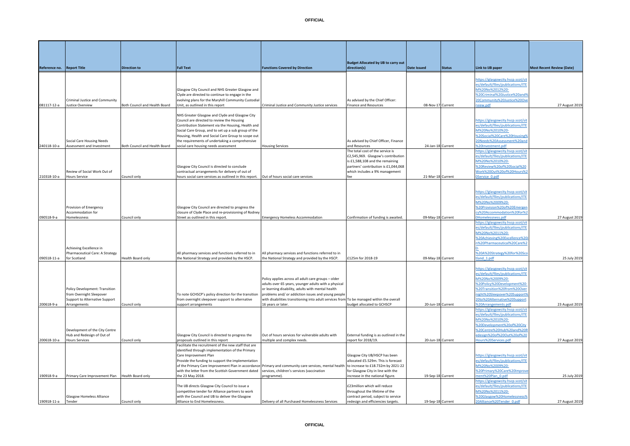081117-12-a

240118-10-a

210318-10-a

090518-11-a

200618-9-a

200618-10-a

190918-11-a

190918-9-a Primary Care Improvement Plan Health Board only

.<br>Tender Co

Glasgow Homeless Alliance

| Reference no. Report Title |                                                            | <b>Direction to</b>           | <b>Full Text</b>                                                                                          | <b>Functions Covered by Direction</b>                                                                       | <b>Budget Allocated by IJB to carry out</b><br>direction(s) | <b>Date Issued</b> | <b>Status</b> | Link to IJB paper                                          | <b>Most Recent Review (Date)</b> |
|----------------------------|------------------------------------------------------------|-------------------------------|-----------------------------------------------------------------------------------------------------------|-------------------------------------------------------------------------------------------------------------|-------------------------------------------------------------|--------------------|---------------|------------------------------------------------------------|----------------------------------|
|                            |                                                            |                               |                                                                                                           |                                                                                                             |                                                             |                    |               |                                                            |                                  |
|                            |                                                            |                               |                                                                                                           |                                                                                                             |                                                             |                    |               | https://glasgowcity.hscp.scot/si                           |                                  |
|                            |                                                            |                               |                                                                                                           |                                                                                                             |                                                             |                    |               | es/default/files/publications/ITE                          |                                  |
|                            |                                                            |                               | Glasgow City Council and NHS Greater Glasgow and                                                          |                                                                                                             |                                                             |                    |               | M%20No%2012%20-                                            |                                  |
|                            | Criminal Justice and Community                             |                               | Clyde are directed to continue to engage in the<br>evolving plans for the Maryhill Community Custodial    |                                                                                                             | As advised by the Chief Officer:                            |                    |               | %20Criminal%20Justice%20and%<br>20Community%20Justice%20Ov |                                  |
| 081117-12-a                | <b>Iustice Overview</b>                                    | Both Council and Health Board | Unit, as outlined in this report                                                                          | Criminal Justice and Community Justice services                                                             | <b>Finance and Resources</b>                                | 08-Nov-17 Current  |               | view.pdf                                                   | 27 August 2019                   |
|                            |                                                            |                               |                                                                                                           |                                                                                                             |                                                             |                    |               |                                                            |                                  |
|                            |                                                            |                               | NHS Greater Glasgow and Clyde and Glasgow City                                                            |                                                                                                             |                                                             |                    |               |                                                            |                                  |
|                            |                                                            |                               | Council are directed to review the Housing                                                                |                                                                                                             |                                                             |                    |               | https://glasgowcity.hscp.scot/sit                          |                                  |
|                            |                                                            |                               | Contribution Statement via the Housing, Health and                                                        |                                                                                                             |                                                             |                    |               | es/default/files/publications/ITE                          |                                  |
|                            |                                                            |                               | Social Care Group, and to set up a sub group of the<br>Housing, Health and Social Care Group to scope out |                                                                                                             |                                                             |                    |               | M%20No%2010%20-<br>%20Social%20Care%20Housing%             |                                  |
|                            | Social Care Housing Needs                                  |                               | the requirements of undertaking a comprehensive                                                           |                                                                                                             | As advised by Chief Officer, Finance                        |                    |               | 20Needs%20Assessment%20and                                 |                                  |
| 240118-10-a                | Assessment and Investment                                  | Both Council and Health Board | social care housing needs assessment                                                                      | <b>Housing Services</b>                                                                                     | and Resources                                               | 24-Jan-18 Current  |               | %20Investment.pdf                                          |                                  |
|                            |                                                            |                               |                                                                                                           |                                                                                                             | The total cost of the service is                            |                    |               | https://glasgowcity.hscp.scot/si                           |                                  |
|                            |                                                            |                               |                                                                                                           |                                                                                                             | £2,545,969. Glasgow's contribution                          |                    |               | es/default/files/publications/ITE                          |                                  |
|                            |                                                            |                               |                                                                                                           |                                                                                                             | is £1,588,108 and the remaining                             |                    |               | VI%20No%2010%20-                                           |                                  |
|                            |                                                            |                               | Glasgow City Council is directed to conclude                                                              |                                                                                                             | partners' contribution is £1,044,068                        |                    |               | %20Review%20of%20Social%20                                 |                                  |
| 210318-10-a                | Review of Social Work Out of<br><b>Hours Service</b>       | Council only                  | contractual arrangements for delivery of out of<br>hours social care services as outlined in this report. | Out of hours social care services                                                                           | which includes a 9% management<br>fee                       | 21-Mar-18 Current  |               | Nork%20Out%20of%20Hours%2<br>Service 0.pdf                 |                                  |
|                            |                                                            |                               |                                                                                                           |                                                                                                             |                                                             |                    |               |                                                            |                                  |
|                            |                                                            |                               |                                                                                                           |                                                                                                             |                                                             |                    |               |                                                            |                                  |
|                            |                                                            |                               |                                                                                                           |                                                                                                             |                                                             |                    |               | nttps://glasgowcity.hscp.scot/si                           |                                  |
|                            |                                                            |                               |                                                                                                           |                                                                                                             |                                                             |                    |               | es/default/files/publications/ITE                          |                                  |
|                            |                                                            |                               |                                                                                                           |                                                                                                             |                                                             |                    |               | VI%20No%2009%20-                                           |                                  |
|                            | Provision of Emergency<br>Accommodation for                |                               | Glasgow City Council are directed to progress the<br>closure of Clyde Place and re-provisioning of Rodney |                                                                                                             |                                                             |                    |               | %20Provision%20of%20Emerger<br>:y%20Accommodation%20for%2  |                                  |
| 090518-9-a                 | Homelessness                                               | Council only                  | Street as outlined in this report.                                                                        | <b>Emergency Homeless Accommodation</b>                                                                     | Confirmation of funding is awaited.                         | 09-May-18 Current  |               | Homelessness.pdf                                           | 27 August 2019                   |
|                            |                                                            |                               |                                                                                                           |                                                                                                             |                                                             |                    |               | https://glasgowcity.hscp.scot/si                           |                                  |
|                            |                                                            |                               |                                                                                                           |                                                                                                             |                                                             |                    |               | es/default/files/publications/ITE                          |                                  |
|                            |                                                            |                               |                                                                                                           |                                                                                                             |                                                             |                    |               | M%20No%2011%20-                                            |                                  |
|                            |                                                            |                               |                                                                                                           |                                                                                                             |                                                             |                    |               | %20Achieving%20Excellence%20                               |                                  |
|                            |                                                            |                               |                                                                                                           |                                                                                                             |                                                             |                    |               | %20Pharmaceutical%20Care%2                                 |                                  |
|                            | Achieving Excellence in<br>Pharmaceutical Care: A Strategy |                               | All pharmacy services and functions referred to in                                                        | All pharmacy services and functions referred to in                                                          |                                                             |                    |               | 620A%20Strategy%20for%20Sco                                |                                  |
| 090518-11-a                | for Scotland                                               | Health Board only             | the National Strategy and provided by the HSCP.                                                           | the National Strategy and provided by the HSCP.                                                             | £125m for 2018-19                                           | 09-May-18 Current  |               | and_1.pdf                                                  | 25 July 2019                     |
|                            |                                                            |                               |                                                                                                           |                                                                                                             |                                                             |                    |               |                                                            |                                  |
|                            |                                                            |                               |                                                                                                           |                                                                                                             |                                                             |                    |               | ittps://glasgowcity.hscp.scot/sit                          |                                  |
|                            |                                                            |                               |                                                                                                           |                                                                                                             |                                                             |                    |               | es/default/files/publications/ITE                          |                                  |
|                            |                                                            |                               |                                                                                                           | Policy applies across all adult care groups - older<br>adults over 65 years, younger adults with a physical |                                                             |                    |               | M%20No%2009%20-<br>620Policy%20Development%20              |                                  |
|                            | Policy Development: Transition                             |                               |                                                                                                           | or learning disability, adults with mental health                                                           |                                                             |                    |               | %20Transition%20from%20Over                                |                                  |
|                            | from Overnight Sleepover                                   |                               | To note GCHSCP's policy direction for the transition                                                      | problems and/ or addiction issues and young people                                                          |                                                             |                    |               | ight%20Sleepover%20Support%                                |                                  |
|                            | Support to Alternative Support                             |                               | from overnight sleepover support to alternative                                                           | with disabilities transitioning into adult services from To be managed within the overall                   |                                                             |                    |               | :0to%20Alternative%20Support                               |                                  |
| 200618-9-a                 | Arrangements                                               | Council only                  | support arrangements                                                                                      | 16 years or later.                                                                                          | budget allocated to GCHSCP                                  | 20-Jun-18 Current  |               | 620Arrangements.pdf                                        | 23 August 2019                   |
|                            |                                                            |                               |                                                                                                           |                                                                                                             |                                                             |                    |               | ittps://glasgowcity.hscp.scot/si                           |                                  |
|                            |                                                            |                               |                                                                                                           |                                                                                                             |                                                             |                    |               | es/default/files/publications/ITE                          |                                  |
|                            |                                                            |                               |                                                                                                           |                                                                                                             |                                                             |                    |               | VI%20No%2010%20-<br>620Development%20of%20City             |                                  |
|                            | Development of the City Centre                             |                               |                                                                                                           |                                                                                                             |                                                             |                    |               | 620Centre%20Hub%20and%20F                                  |                                  |
|                            | Hub and Redesign of Out of                                 |                               | Glasgow City Council is directed to progress the                                                          | Out of hours services for vulnerable adults with                                                            | External funding is as outlined in the                      |                    |               | edesign%20of%20Out%20of%20                                 |                                  |
| 200618-10-a                | <b>Hours Services</b>                                      | Council only                  | proposals outlined in this report                                                                         | multiple and complex needs.                                                                                 | report for 2018/19.                                         | 20-Jun-18 Current  |               | Hours%20Services.pdf                                       | 27 August 2019                   |

**OFFICIAL**

Glasgow City IJB/HSCP has been allocated £5.529m. This is forecast for Glasgow City in line with the

£23million which will reduce throughout the lifetime of the contract period, subject to service

increase in the national figure. 19-Sep-18 Current

redesign and efficiencies targets. 19-Sep-18 Current

[https://glasgowcity.hscp.scot/sit](https://glasgowcity.hscp.scot/sites/default/files/publications/ITEM%20No%2009%20-%20Primary%20Care%20Improvement%20Plan_0.pdf) s/default/files/publications/ITE [M%20No%2009%20-](https://glasgowcity.hscp.scot/sites/default/files/publications/ITEM%20No%2009%20-%20Primary%20Care%20Improvement%20Plan_0.pdf) %20Primary%20Care%20

ttps://glasgowcity.hscp.scot/si s/default/files/publications/IT [M%20No%2011%20-](https://glasgowcity.hscp.scot/sites/default/files/publications/ITEM%20No%2011%20-%20Glasgow%20Homelessness%20Alliance%20Tender_0.pdf) [%20Glasgow%20Homelessness%](https://glasgowcity.hscp.scot/sites/default/files/publications/ITEM%20No%2011%20-%20Glasgow%20Homelessness%20Alliance%20Tender_0.pdf)

ent%20Plan\_0.pdf 25 July 2019

Alliance%20Tender\_0.pdf 27 August 2019

of the Primary Care Improvement Plan in accordance Primary and community care services, mental health to increase to £18.732m by 2021-22

programme).

services, children's services (vaccination

Delivery of all Purchased Homelessness Services

Facilitate the recruitment of the new staff that are identified through implementation of the Primary

Provide the funding to support the implementation

with the letter from the Scottish Government dated

The IJB directs Glasgow City Council to issue a competitive tender for Alliance partners to work with the Council and IJB to deliver the Glasgow<br>Alliance to End Homelessness.

Care Improvement Plan

the 23 May 2018.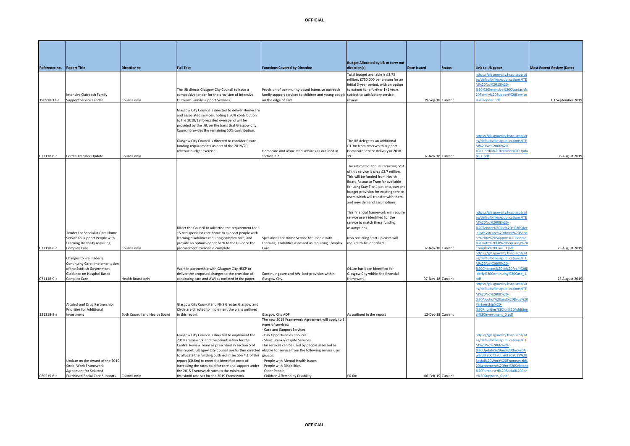|               |                                                                                                                                         |                               |                                                                                                                                                                                                                                                                                                                                                                                                                                                                                                                                              |                                                                                                                                                                                                                                                                                             | <b>Budget Allocated by IJB to carry out</b>                                                                                                                                                                                                                                                                     |                    |               |                                                                                                                                                                                                                                                                      |                                  |
|---------------|-----------------------------------------------------------------------------------------------------------------------------------------|-------------------------------|----------------------------------------------------------------------------------------------------------------------------------------------------------------------------------------------------------------------------------------------------------------------------------------------------------------------------------------------------------------------------------------------------------------------------------------------------------------------------------------------------------------------------------------------|---------------------------------------------------------------------------------------------------------------------------------------------------------------------------------------------------------------------------------------------------------------------------------------------|-----------------------------------------------------------------------------------------------------------------------------------------------------------------------------------------------------------------------------------------------------------------------------------------------------------------|--------------------|---------------|----------------------------------------------------------------------------------------------------------------------------------------------------------------------------------------------------------------------------------------------------------------------|----------------------------------|
| Reference no. | <b>Report Title</b>                                                                                                                     | <b>Direction to</b>           | <b>Full Text</b>                                                                                                                                                                                                                                                                                                                                                                                                                                                                                                                             | <b>Functions Covered by Direction</b>                                                                                                                                                                                                                                                       | direction(s)                                                                                                                                                                                                                                                                                                    | <b>Date Issued</b> | <b>Status</b> | Link to IJB paper                                                                                                                                                                                                                                                    | <b>Most Recent Review (Date)</b> |
| 190918-13-a   | ntensive Outreach Family<br>upport Service Tender                                                                                       | Council only                  | The IJB directs Glasgow City Council to issue a<br>competitive tender for the provision of Intensive<br>Outreach Family Support Services.                                                                                                                                                                                                                                                                                                                                                                                                    | Provision of community-based intensive outreach<br>family support services to children and young people<br>on the edge of care.                                                                                                                                                             | Total budget available is £3.75<br>million, £750,000 per annum for an<br>initial 3-year period, with an option<br>to extend for a further 1+1 years<br>subject to satisfactory service<br>review.                                                                                                               | 19-Sep-18 Current  |               | ittps://glasgowcity.hscp.scot/si<br>es/default/files/publications/ITE<br>M%20No%2013%20-<br>%20%20Intensive%20Outreach%<br>20Family%20Support%20Service<br>%20Tender.pdf                                                                                             | 03 September 2019                |
|               |                                                                                                                                         |                               | Glasgow City Council is directed to deliver Homecare<br>and associated services, noting a 50% contribution<br>to the 2018/19 forecasted overspend will be<br>provided by the IJB, on the basis that Glasgow City<br>Council provides the remaining 50% contribution.<br>Glasgow City Council is directed to consider future<br>funding requirements as part of the 2019/20<br>revenue budget exercise.                                                                                                                                       | Homecare and associated services as outlined in                                                                                                                                                                                                                                             | The IJB delegates an additional<br>3.3m from reserves to support<br>Homecare service delivery in 2018-                                                                                                                                                                                                          |                    |               | https://glasgowcity.hscp.scot/sit<br>es/default/files/publications/ITE<br>M%20No%2006%20-<br>%20Cordia%20Transfer%20Upda                                                                                                                                             |                                  |
| 071118-6-a    | Cordia Transfer Update                                                                                                                  | Council only                  |                                                                                                                                                                                                                                                                                                                                                                                                                                                                                                                                              | section 2.2.                                                                                                                                                                                                                                                                                | 19                                                                                                                                                                                                                                                                                                              | 07-Nov-18 Current  |               | $e_1.pdf$                                                                                                                                                                                                                                                            | 06 August 2019                   |
|               |                                                                                                                                         |                               |                                                                                                                                                                                                                                                                                                                                                                                                                                                                                                                                              |                                                                                                                                                                                                                                                                                             | The estimated annual recurring cost<br>of this service is circa £2.7 million.<br>This will be funded from Health<br>Board Resource Transfer available<br>for Long Stay Tier 4 patients, current<br>budget provision for existing service<br>users which will transfer with them,<br>and new demand assumptions. |                    |               |                                                                                                                                                                                                                                                                      |                                  |
|               | Tender for Specialist Care Home<br>Service to Support People with<br>Learning Disability requiring                                      |                               | Direct the Council to advertise the requirement for a<br>15 bed specialist care home to support people with<br>learning disabilities requiring complex care, and<br>provide an options paper back to the IJB once the                                                                                                                                                                                                                                                                                                                        | Specialist Care Home Service for People with<br>Learning Disabilities assessed as requiring Complex                                                                                                                                                                                         | This financial framework will require<br>service users identified for the<br>service to match these funding<br>assumptions.<br>Non recurring start-up costs will<br>equire to be identified.                                                                                                                    |                    |               | https://glasgowcity.hscp.scot/sit<br>es/default/files/publications/ITE<br>M%20No%2008%20-<br>%20Tender%20for%20a%20Spe<br>alist%20Care%20Home%20Serv<br>e%20to%20Support%20People<br>%20with%20LD%20requiring%2                                                      |                                  |
| 071118-8-a    | Complex Care                                                                                                                            | Council only                  | procurement exercise is complete                                                                                                                                                                                                                                                                                                                                                                                                                                                                                                             | Care.                                                                                                                                                                                                                                                                                       |                                                                                                                                                                                                                                                                                                                 | 07-Nov-18 Current  |               | Complex%20Care_1.pdf                                                                                                                                                                                                                                                 | 23 August 2019                   |
| 071118-9-a    | Changes to Frail Elderly<br>Continuing Care: Implementation<br>of the Scottish Government<br>Guidance on Hospital Based<br>Complex Care | lealth Board only             | Work in partnership with Glasgow City HSCP to<br>deliver the proposed changes to the provision of<br>continuing care and AWI as outlined in the paper.                                                                                                                                                                                                                                                                                                                                                                                       | Continuing care and AWI bed provision within<br>Glasgow City.                                                                                                                                                                                                                               | £4.1m has been identified for<br>Glasgow City within the financial<br>framework.                                                                                                                                                                                                                                | 07-Nov-18 Current  |               | ittps://glasgowcity.hscp.scot/si<br>es/default/files/publications/ITE<br>M%20No%2009%20-<br>%20Changes%20to%20Frail%20<br>derly%20Continuing%20Care_1<br><b>Africa</b>                                                                                               | 23 August 2019                   |
| 121218-8-a    | Alcohol and Drug Partnership:<br>Priorities for Additional<br>Investment                                                                | Both Council and Health Board | Glasgow City Council and NHS Greater Glasgow and<br>Clyde are directed to implement the plans outlined<br>in this report.                                                                                                                                                                                                                                                                                                                                                                                                                    | Glasgow City ADP                                                                                                                                                                                                                                                                            | As outlined in the report                                                                                                                                                                                                                                                                                       | 12-Dec-18 Current  |               | https://glasgowcity.hscp.scot/si<br>es/default/files/publications/ITE<br>M%20No%2008%20-<br>%20Alcohol%20and%20Drug%2<br>Partnership%20-<br>620Priorities%20for%20Additio<br>1%20Investment 0.pdf                                                                    |                                  |
|               |                                                                                                                                         |                               |                                                                                                                                                                                                                                                                                                                                                                                                                                                                                                                                              | The new 2019 Framework Agreement will apply to 3                                                                                                                                                                                                                                            |                                                                                                                                                                                                                                                                                                                 |                    |               |                                                                                                                                                                                                                                                                      |                                  |
| 060219-6-a    | Update on the Award of the 2019<br>Social Work Framework<br>Agreement for Selected<br>Purchased Social Care Supports Council only       |                               | Glasgow City Council is directed to implement the<br>2019 Framework and the prioritisation for the<br>Central Review Team as prescribed in section 5 of<br>this report. Glasgow City Council are further directed eligible for service from the following service user<br>to allocate the funding outlined in section 4.1 of this groups:<br>report (£0.6m) to meet the identified costs of<br>increasing the rates paid for care and support under<br>the 2015 Framework rates to the minimum<br>threshold rate set for the 2019 Framework. | types of services:<br>Care and Support Services<br>- Day Opportunities Services<br>- Short Breaks/Respite Services<br>The services can be used by people assessed as<br>People with Mental Health issues<br>- People with Disabilities<br>Older People<br>- Children Affected by Disability | £0.6m                                                                                                                                                                                                                                                                                                           | 06-Feb-19 Current  |               | https://glasgowcity.hscp.scot/sit<br>es/default/files/publications/ITE<br>M%20No%2006%20-<br>%20Update%20on%20the%20A<br>ward%20of%20the%202019%20<br>iocial%20Work%20Framework%<br>20Agreement%20for%20Selecte<br>620Purchased%20Social%20Car<br>e%20Supports_0.pdf |                                  |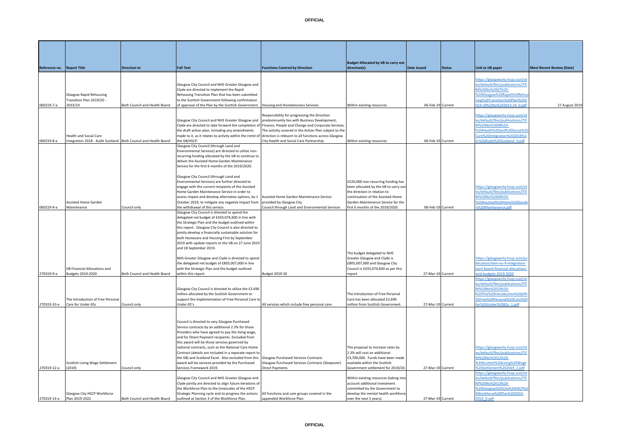**Reference no.** Report Title

| Reference no. Report Title |                                                                 | <b>Direction to</b>           | <b>Full Text</b>                                                                                                | <b>Functions Covered by Direction</b>                  | direction(s)                           | <b>Date Issued</b> | <b>Status</b> | Link to UB paper                  | <b>Most Recent Review (Date)</b> |
|----------------------------|-----------------------------------------------------------------|-------------------------------|-----------------------------------------------------------------------------------------------------------------|--------------------------------------------------------|----------------------------------------|--------------------|---------------|-----------------------------------|----------------------------------|
|                            |                                                                 |                               |                                                                                                                 |                                                        |                                        |                    |               |                                   |                                  |
|                            |                                                                 |                               |                                                                                                                 |                                                        |                                        |                    |               | https://glasgowcity.hscp.scot/sit |                                  |
|                            |                                                                 |                               | Glasgow City Council and NHS Greater Glasgow and                                                                |                                                        |                                        |                    |               | es/default/files/publications/ITE |                                  |
|                            |                                                                 |                               | Clyde are directed to implement the Rapid                                                                       |                                                        |                                        |                    |               | M%20No%2007%20-                   |                                  |
|                            | <b>Glasgow Rapid Rehousing</b>                                  |                               | Rehousing Transition Plan that has been submitted                                                               |                                                        |                                        |                    |               | %20Glasgow%20Rapid%20Reho         |                                  |
|                            | Transition Plan 2019/20 -                                       |                               | to the Scottish Government following confirmation                                                               |                                                        |                                        |                    |               | sing%20Transition%20Plan%202      |                                  |
| 060219-7-a                 | 2023/24                                                         | Both Council and Health Board | of approval of the Plan by the Scottish Government.                                                             | Housing and Homelessness Services                      | Within existing resources              | 06-Feb-19 Current  |               | 019-20%20to%202023-24 0.pd        | 27 August 2019                   |
|                            |                                                                 |                               |                                                                                                                 | Responsibility for progressing the Direction           |                                        |                    |               | https://glasgowcity.hscp.scot/sit |                                  |
|                            |                                                                 |                               | Glasgow City Council and NHS Greater Glasgow and predominantly lies with Business Development,                  |                                                        |                                        |                    |               | es/default/files/publications/ITE |                                  |
|                            |                                                                 |                               | Clyde are directed to take forward the completion of Finance, People and Change and Corporate Services.         |                                                        |                                        |                    |               | M%20No%2008%20-                   |                                  |
|                            |                                                                 |                               | the draft action plan, including any amendments                                                                 | The activity covered in the Action Plan subject to the |                                        |                    |               | %20Health%20and%20Social%20       |                                  |
|                            | Health and Social Care                                          |                               | made to it, as it relates to activity within the remit of direction is relevant to all functions across Glasgow |                                                        |                                        |                    |               | Care%20Integration%202018%2       |                                  |
|                            |                                                                 |                               | the IJB/HSCP.                                                                                                   | City Health and Social Care Partnership.               |                                        | 06-Feb-19 Current  |               |                                   |                                  |
| 060219-8-a                 | Integration 2018 - Audit Scotland Both Council and Health Board |                               | Glasgow City Council (through Land and                                                                          |                                                        | Within existing resources              |                    |               | 0-%20Audit%20Scotland 0.pdf       |                                  |
|                            |                                                                 |                               | Environmental Services) are directed to utilize non-                                                            |                                                        |                                        |                    |               |                                   |                                  |
|                            |                                                                 |                               | recurring funding allocated by the IJB to continue to                                                           |                                                        |                                        |                    |               |                                   |                                  |
|                            |                                                                 |                               | deliver the Assisted Home Garden Maintenance                                                                    |                                                        |                                        |                    |               |                                   |                                  |
|                            |                                                                 |                               | Service for the first 6 months of the 2019/2020.                                                                |                                                        |                                        |                    |               |                                   |                                  |
|                            |                                                                 |                               |                                                                                                                 |                                                        |                                        |                    |               |                                   |                                  |
|                            |                                                                 |                               | Glasgow City Council (through Land and                                                                          |                                                        |                                        |                    |               |                                   |                                  |
|                            |                                                                 |                               | Environmental Services) are further directed to                                                                 |                                                        | £520,000 non-recurring funding has     |                    |               |                                   |                                  |
|                            |                                                                 |                               | engage with the current recipients of the Assisted                                                              |                                                        | been allocated by the IJB to carry out |                    |               | https://glasgowcity.hscp.scot/sit |                                  |
|                            |                                                                 |                               | Home Garden Maintenance Service in order to                                                                     |                                                        | the direction in relation to           |                    |               | es/default/files/publications/ITE |                                  |
|                            |                                                                 |                               | assess impact and develop alternative options, by 1 Assisted Home Garden Maintenance Service                    |                                                        | continuation of the Assisted Home      |                    |               | M%20No%2009%20-                   |                                  |
|                            | Assisted Home Garden                                            |                               | October 2019, to mitigate any negative impact from provided by Glasgow City                                     |                                                        | Garden Maintenance Service for the     |                    |               | %20Assisted%20Home%20Garde        |                                  |
| 060219-9-a                 | Maintenance                                                     | Council only                  | the withdrawal of this service.                                                                                 | Council through Land and Environmental Services        | first 6 months of the 2019/2020.       | 06-Feb-19 Current  |               | n%20Maintenance.pdf               |                                  |
|                            |                                                                 |                               | Glasgow City Council is directed to spend the                                                                   |                                                        |                                        |                    |               |                                   |                                  |
|                            |                                                                 |                               | delegated net budget of £433,074,600 in line with                                                               |                                                        |                                        |                    |               |                                   |                                  |
|                            |                                                                 |                               | the Strategic Plan and the budget outlined within                                                               |                                                        |                                        |                    |               |                                   |                                  |
|                            |                                                                 |                               | this report. Glasgow City Council is also directed to                                                           |                                                        |                                        |                    |               |                                   |                                  |
|                            |                                                                 |                               | jointly develop a financially sustainable solution for                                                          |                                                        |                                        |                    |               |                                   |                                  |
|                            |                                                                 |                               | both Homecare and Housing First by September                                                                    |                                                        |                                        |                    |               |                                   |                                  |
|                            |                                                                 |                               | 2019 with update reports to the IJB on 27 June 2019                                                             |                                                        |                                        |                    |               |                                   |                                  |
|                            |                                                                 |                               | and 18 September 2019.                                                                                          |                                                        |                                        |                    |               |                                   |                                  |
|                            |                                                                 |                               |                                                                                                                 |                                                        | The budget delegated to NHS            |                    |               |                                   |                                  |
|                            |                                                                 |                               | NHS Greater Glasgow and Clyde is directed to spend                                                              |                                                        | Greater Glasgow and Clyde is           |                    |               | https://glasgowcity.hscp.scot/pu  |                                  |
|                            |                                                                 |                               | the delegated net budget of £805,007,000 in line                                                                |                                                        | £805,007,000 and Glasgow City          |                    |               | blication/item-no-9-integration-  |                                  |

**Budget Allocated by IJB to carry out** 

|             |                                     |                               | delegated net budget of £433,074,600 in line with<br>the Strategic Plan and the budget outlined within                                                                                                                                                                                                                                                                                                                                                                                                                        |                                                  |                                                                                                                                        |                   |                                                                                                                          |  |
|-------------|-------------------------------------|-------------------------------|-------------------------------------------------------------------------------------------------------------------------------------------------------------------------------------------------------------------------------------------------------------------------------------------------------------------------------------------------------------------------------------------------------------------------------------------------------------------------------------------------------------------------------|--------------------------------------------------|----------------------------------------------------------------------------------------------------------------------------------------|-------------------|--------------------------------------------------------------------------------------------------------------------------|--|
|             |                                     |                               | this report. Glasgow City Council is also directed to                                                                                                                                                                                                                                                                                                                                                                                                                                                                         |                                                  |                                                                                                                                        |                   |                                                                                                                          |  |
|             |                                     |                               | jointly develop a financially sustainable solution for                                                                                                                                                                                                                                                                                                                                                                                                                                                                        |                                                  |                                                                                                                                        |                   |                                                                                                                          |  |
|             |                                     |                               | both Homecare and Housing First by September                                                                                                                                                                                                                                                                                                                                                                                                                                                                                  |                                                  |                                                                                                                                        |                   |                                                                                                                          |  |
|             |                                     |                               | 2019 with update reports to the IJB on 27 June 2019                                                                                                                                                                                                                                                                                                                                                                                                                                                                           |                                                  |                                                                                                                                        |                   |                                                                                                                          |  |
|             |                                     |                               | and 18 September 2019.                                                                                                                                                                                                                                                                                                                                                                                                                                                                                                        |                                                  |                                                                                                                                        |                   |                                                                                                                          |  |
|             |                                     |                               |                                                                                                                                                                                                                                                                                                                                                                                                                                                                                                                               |                                                  | The budget delegated to NHS                                                                                                            |                   |                                                                                                                          |  |
|             |                                     |                               | NHS Greater Glasgow and Clyde is directed to spend                                                                                                                                                                                                                                                                                                                                                                                                                                                                            |                                                  | Greater Glasgow and Clyde is                                                                                                           |                   | https://glasgowcity.hscp.scot/pu                                                                                         |  |
|             |                                     |                               | the delegated net budget of £805,007,000 in line                                                                                                                                                                                                                                                                                                                                                                                                                                                                              |                                                  | £805,007,000 and Glasgow City                                                                                                          |                   | blication/item-no-9-integration-                                                                                         |  |
|             | <b>UB Financial Allocations and</b> |                               | with the Strategic Plan and the budget outlined                                                                                                                                                                                                                                                                                                                                                                                                                                                                               |                                                  | Council is £433,074,600 as per this                                                                                                    |                   | ioint-board-financial-allocations                                                                                        |  |
| 270319-9-a  | Budgets 2019-2020                   | Both Council and Health Board | within this report.                                                                                                                                                                                                                                                                                                                                                                                                                                                                                                           | Budget 2019-20                                   | report.                                                                                                                                | 27-Mar-19 Current | and-budgets-2019-2020                                                                                                    |  |
|             |                                     |                               |                                                                                                                                                                                                                                                                                                                                                                                                                                                                                                                               |                                                  |                                                                                                                                        |                   | https://glasgowcity.hscp.scot/sit                                                                                        |  |
|             |                                     |                               |                                                                                                                                                                                                                                                                                                                                                                                                                                                                                                                               |                                                  |                                                                                                                                        |                   | es/default/files/publications/ITE                                                                                        |  |
|             |                                     |                               | Glasgow City Council is directed to utilise the £3.696                                                                                                                                                                                                                                                                                                                                                                                                                                                                        |                                                  |                                                                                                                                        |                   | M%20No%2010%20-                                                                                                          |  |
|             |                                     |                               | million allocated by the Scottish Government to                                                                                                                                                                                                                                                                                                                                                                                                                                                                               |                                                  | The introduction of Free Personal                                                                                                      |                   | %20The%20Introduction%20of%                                                                                              |  |
|             | The Introduction of Free Personal   |                               | support the implementation of Free Personal Care to                                                                                                                                                                                                                                                                                                                                                                                                                                                                           |                                                  | Care has been allocated £3,696                                                                                                         |                   | 20Free%20Personal%20Care%20                                                                                              |  |
| 270319-10-a | Care for Under 65s                  | Council only                  | Under 65's                                                                                                                                                                                                                                                                                                                                                                                                                                                                                                                    | All services which include free personal care.   | million from Scottish Government                                                                                                       | 27-Mar-19 Current | for%20Under%2065s 1.pdf                                                                                                  |  |
|             | Scottish Living Wage Settlement     |                               | Council is directed to vary Glasgow Purchased<br>Service contracts by an additional 2.3% for those<br>Providers who have agreed to pay the living wage,<br>and for Direct Payment recipients. Excluded from<br>this award will be those services governed by<br>national contracts, such as the National Care Home<br>Contract (details are included in a separate report to<br>the IJB) and Scotland Excel. Also excluded from this Glasgow Purchased Services Contracts<br>award will be services provided by the Purchased | Glasgow Purchased Services Contracts (Sleepover) | The proposal to increase rates by<br>2.3% will cost an additional<br>£3,700,000. Funds have been made<br>available within the Scottish |                   | https://glasgowcity.hscp.scot/sit<br>es/default/files/publications/ITE<br>M%20No%2012%20-<br>%20Scottish%20Living%20Wage |  |
| 270319-12-a | (2019)                              | Council only                  | Services Framework 2019.                                                                                                                                                                                                                                                                                                                                                                                                                                                                                                      | <b>Direct Payments</b>                           | Government settlement for 2019/20                                                                                                      | 27-Mar-19 Current | %20Settlement%202019 1.pdf                                                                                               |  |
|             |                                     |                               |                                                                                                                                                                                                                                                                                                                                                                                                                                                                                                                               |                                                  |                                                                                                                                        |                   | https://glasgowcity.hscp.scot/si                                                                                         |  |
|             |                                     |                               | Glasgow City Council and NHS Greater Glasgow and                                                                                                                                                                                                                                                                                                                                                                                                                                                                              |                                                  | Within existing resources (taking into                                                                                                 |                   | es/default/files/publications/ITE                                                                                        |  |
|             |                                     |                               | Clyde jointly are directed to align future iterations of                                                                                                                                                                                                                                                                                                                                                                                                                                                                      |                                                  | account additional investment                                                                                                          |                   | M%20No%2013%20-                                                                                                          |  |
|             |                                     |                               | the Workforce Plan to the timescales of the HSCP                                                                                                                                                                                                                                                                                                                                                                                                                                                                              |                                                  | committed by the Government to                                                                                                         |                   | %20Glasgow%20City%20HSCP%2                                                                                               |  |
|             | Glasgow City HSCP Workforce         |                               | Strategic Planning cycle and to progress the actions                                                                                                                                                                                                                                                                                                                                                                                                                                                                          | All functions and care groups covered in the     | develop the mental health workforce                                                                                                    |                   | 0Workforce%20Plan%202019-                                                                                                |  |
| 270319-13-a | Plan 2019-2022                      | Both Council and Health Board | outlined at Section 3 of the Workforce Plan.                                                                                                                                                                                                                                                                                                                                                                                                                                                                                  | appended Workforce Plan.                         | over the next 5 years).                                                                                                                | 27-Mar-19 Current | 2022 0.pdf                                                                                                               |  |
|             |                                     |                               |                                                                                                                                                                                                                                                                                                                                                                                                                                                                                                                               |                                                  |                                                                                                                                        |                   |                                                                                                                          |  |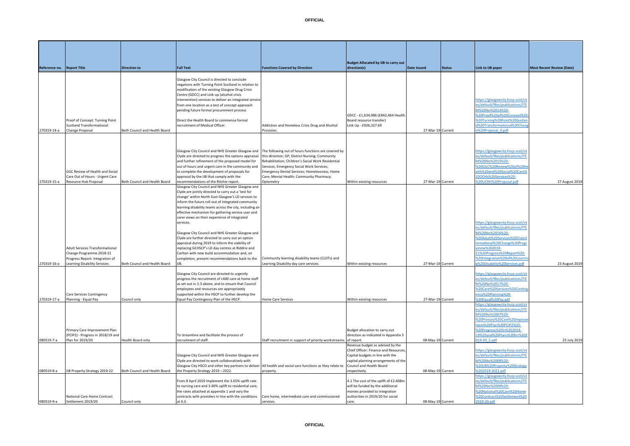**Budget Allocated by IJB to carry out direction(s) Date Issued Status Link to IJB paper Most Recent Review (Date)**

**Reference no. Report Title Direction to Full Text Functions Covered by Direction**

|             | Proof of Concept: Turning Point<br><b>Scotland Transformational</b>                                   |                               | Glasgow City Council is directed to conclude<br>negations with Turning Point Scotland in relation to<br>modification of the existing Glasgow Drug Crisis<br>Centre (GDCC) and Link-up (alcohol crisis<br>intervention) services to deliver an integrated service<br>from one location as a test of concept approach<br>pending future formal procurement process<br>Direct the Health Board to commence formal<br>recruitment of Medical Officer. | Addiction and Homeless Crisis Drug and Alcohol                                                                                                                                                                                                  | GDCC - £1,634,986 (£842,464 Health<br>Board resource transfer)<br>Link Up - £926,327.69 |                   | https://glasgowcity.hscp.scot/sit<br>es/default/files/publications/ITE<br>M%20No%2014%20-<br>%20Proof%20of%20Concept%20<br>%20Turning%20Point%20Scotlar<br>d%20Transformational%20Char |                |
|-------------|-------------------------------------------------------------------------------------------------------|-------------------------------|---------------------------------------------------------------------------------------------------------------------------------------------------------------------------------------------------------------------------------------------------------------------------------------------------------------------------------------------------------------------------------------------------------------------------------------------------|-------------------------------------------------------------------------------------------------------------------------------------------------------------------------------------------------------------------------------------------------|-----------------------------------------------------------------------------------------|-------------------|----------------------------------------------------------------------------------------------------------------------------------------------------------------------------------------|----------------|
| 270319-14-a | <b>Change Proposal</b>                                                                                | Both Council and Health Board |                                                                                                                                                                                                                                                                                                                                                                                                                                                   | Provision.                                                                                                                                                                                                                                      |                                                                                         | 27-Mar-19 Current | e%20Proposal_0.pdf                                                                                                                                                                     |                |
|             | GGC Review of Health and Social<br>Care Out of Hours - Urgent Care                                    |                               | Glasgow City Council and NHS Greater Glasgow and The following out of hours functions are covered by<br>Clyde are directed to progress the options appraisal<br>and further refinement of the proposed model for<br>out of hours and urgent care in the community and<br>to complete the development of proposals for<br>approval by the IJB that comply with the                                                                                 | this direction; GP; District Nursing; Community<br>Rehabilitation; Children's Social Work Residential<br>Services; Emergency Social Work Services;<br>Emergency Dental Services; Homelessness; Home<br>Care; Mental Health; Community Pharmacy; |                                                                                         |                   | https://glasgowcity.hscp.scot/sit<br>es/default/files/publications/ITE<br>M%20No%2015%20-<br>%20GGC%20Review%20of%20He<br>alth%20and%20Social%20Care%<br>2000Hs%20Services%20-         |                |
| 270319-15-a | Resource Hub Proposal                                                                                 | Both Council and Health Board | recommendations of the Ritchie report.                                                                                                                                                                                                                                                                                                                                                                                                            | Optometry                                                                                                                                                                                                                                       | Within existing resources                                                               | 27-Mar-19 Current | %20UCRH%20Proposal.pdf                                                                                                                                                                 | 27 August 2019 |
|             |                                                                                                       |                               | Glasgow City Council and NHS Greater Glasgow and<br>Clyde are jointly directed to carry out a 'test for<br>change' within North East Glasgow's LD services to<br>inform the future roll-out of integrated community<br>learning disability teams across the city, including an<br>effective mechanism for gathering service user and<br>carer views on their experience of integrated<br>services.                                                |                                                                                                                                                                                                                                                 |                                                                                         |                   | https://glasgowcity.hscp.scot/sit<br>es/default/files/publications/ITE                                                                                                                 |                |
|             |                                                                                                       |                               | Glasgow City Council and NHS Greater Glasgow and<br>Clyde are further directed to carry out an option<br>appraisal during 2019 to inform the viability of                                                                                                                                                                                                                                                                                         |                                                                                                                                                                                                                                                 |                                                                                         |                   | M%20No%2016%20-<br>620Adult%20Services%20Transf<br>prmational%20Change%20Prog                                                                                                          |                |
|             | <b>Adult Services Transformational</b><br>Change Programme 2018-21<br>Progress Report: Integration of |                               | replacing GCHSCP's LD day centres at Riddrie and<br>Carlton with new build accommodation and, on<br>completion, present recommendations back to the                                                                                                                                                                                                                                                                                               | Community learning disability teams (CLDTs) and                                                                                                                                                                                                 |                                                                                         |                   | amme%202018-<br>21%20Progress%20Report%20-<br>%20Integration%20of%20Learni                                                                                                             |                |
| 270319-16-a | Learning Disability Services                                                                          | Both Council and Health Board |                                                                                                                                                                                                                                                                                                                                                                                                                                                   | Learning Disability day care services.                                                                                                                                                                                                          | Within existing resources                                                               | 27-Mar-19 Current | g%20Disability%20Services.pdf                                                                                                                                                          | 23 August 2019 |
|             |                                                                                                       |                               | Glasgow City Council are directed to urgently<br>progress the recruitment of c400 care at home staff                                                                                                                                                                                                                                                                                                                                              |                                                                                                                                                                                                                                                 |                                                                                         |                   | https://glasgowcity.hscp.scot/sit<br>es/default/files/publications/ITE                                                                                                                 |                |

|             |                                                   |                               | services.                                                                                                  |                                                                  |                                                                     |                   | https://glasgowcity.hscp.scot/s                          |                |
|-------------|---------------------------------------------------|-------------------------------|------------------------------------------------------------------------------------------------------------|------------------------------------------------------------------|---------------------------------------------------------------------|-------------------|----------------------------------------------------------|----------------|
|             |                                                   |                               |                                                                                                            |                                                                  |                                                                     |                   | es/default/files/publications/ITE                        |                |
|             |                                                   |                               | Glasgow City Council and NHS Greater Glasgow and                                                           |                                                                  |                                                                     |                   | M%20No%2016%20-                                          |                |
|             |                                                   |                               | Clyde are further directed to carry out an option                                                          |                                                                  |                                                                     |                   | %20Adult%20Services%20Trans                              |                |
|             |                                                   |                               | appraisal during 2019 to inform the viability of                                                           |                                                                  |                                                                     |                   | ormational%20Change%20Progr                              |                |
|             | <b>Adult Services Transformational</b>            |                               | replacing GCHSCP's LD day centres at Riddrie and                                                           |                                                                  |                                                                     |                   | amme%202018-                                             |                |
|             | Change Programme 2018-21                          |                               | Carlton with new build accommodation and, on                                                               |                                                                  |                                                                     |                   | 21%20Progress%20Report%20-                               |                |
|             | Progress Report: Integration of                   |                               | completion, present recommendations back to the                                                            | Community learning disability teams (CLDTs) and                  |                                                                     |                   | %20Integration%20of%20Learni                             |                |
| 270319-16-a | Learning Disability Services                      | Both Council and Health Board | IJB.                                                                                                       | Learning Disability day care services.                           | Within existing resources                                           | 27-Mar-19 Current | g%20Disability%20Services.pdf                            | 23 August 2019 |
|             |                                                   |                               | Glasgow City Council are directed to urgently                                                              |                                                                  |                                                                     |                   | https://glasgowcity.hscp.scot/sit                        |                |
|             |                                                   |                               | progress the recruitment of c400 care at home staff                                                        |                                                                  |                                                                     |                   | es/default/files/publications/ITE                        |                |
|             |                                                   |                               | as set out in 3.3 above, and to ensure that Council                                                        |                                                                  |                                                                     |                   | M%20No%2017%20-                                          |                |
|             |                                                   |                               |                                                                                                            |                                                                  |                                                                     |                   | %20Care%20Services%20Contin                              |                |
|             |                                                   |                               | employees and resources are appropriately<br>supported within the HSCP to further develop the              |                                                                  |                                                                     |                   | ency%20Planning%20-                                      |                |
| 270319-17-a | Care Services Contingency<br>Planning - Equal Pay | Council only                  | Equal Pay Contingency Plan of the HSCP                                                                     | <b>Home Care Services</b>                                        |                                                                     | 27-Mar-19 Current | %20Equal%20Pay.pdf                                       |                |
|             |                                                   |                               |                                                                                                            |                                                                  | Within existing resources                                           |                   |                                                          |                |
|             |                                                   |                               |                                                                                                            |                                                                  |                                                                     |                   | https://glasgowcity.hscp.scot/si                         |                |
|             |                                                   |                               |                                                                                                            |                                                                  |                                                                     |                   | es/default/files/publications/ITE<br>M%20No%2007%20-     |                |
|             |                                                   |                               |                                                                                                            |                                                                  |                                                                     |                   |                                                          |                |
|             |                                                   |                               |                                                                                                            |                                                                  |                                                                     |                   | %20Primary%20Care%20Improv                               |                |
|             |                                                   |                               |                                                                                                            |                                                                  |                                                                     |                   | ment%20Plan%20PCIP2%20-                                  |                |
|             | Primary Care Improvement Plan                     |                               |                                                                                                            |                                                                  | Budget allocation to carry out                                      |                   | %20Progress%20in%202018-                                 |                |
|             | (PCIP2) - Progress in 2018/19 and                 |                               | To streamline and facilitate the process of                                                                |                                                                  | direction as indicated in Appendix 3                                |                   | 19%20and%20Plans%20for%20                                |                |
| 080519-7-a  | Plan for 2019/20                                  | Health Board only             | recruitment of staff.                                                                                      | Staff recruitment in support of priority workstreams. of report. |                                                                     | 08-May-19 Current | 019-20 2.pdf                                             | 25 July 201    |
|             |                                                   |                               |                                                                                                            |                                                                  | Revenue budget as advised by the                                    |                   |                                                          |                |
|             |                                                   |                               |                                                                                                            |                                                                  | Chief Officer: Finance and Resources                                |                   | https://glasgowcity.hscp.scot/sit                        |                |
|             |                                                   |                               | Glasgow City Council and NHS Greater Glasgow and                                                           |                                                                  | Capital budgets in line with the                                    |                   | es/default/files/publications/ITE                        |                |
|             |                                                   |                               | Clyde are directed to work collaboratively with                                                            |                                                                  | capital planning arrangements of the                                |                   | M%20No%2008%20-                                          |                |
|             |                                                   |                               |                                                                                                            |                                                                  |                                                                     |                   |                                                          |                |
|             |                                                   |                               | Glasgow City HSCO and other key partners to deliver All health and social care functions as they relate to |                                                                  | Council and Health Board                                            |                   | %20IJB%20Property%20Strategy                             |                |
|             | IJB Property Strategy 2019-22                     | Both Council and Health Board | the Property Strategy 2019 - 2022.                                                                         | property.                                                        | respectively.                                                       | 08-May-19 Current | %202019-2022.pdf                                         |                |
| 080519-8-a  |                                                   |                               |                                                                                                            |                                                                  |                                                                     |                   | https://glasgowcity.hscp.scot/si                         |                |
|             |                                                   |                               | From 8 April 2019 implement the 3.65% uplift rate                                                          |                                                                  | 4.1 The cost of the uplift of £2.608m                               |                   | es/default/files/publications/ITE                        |                |
|             |                                                   |                               | to nursing care and 3.40% uplift to residential care,                                                      |                                                                  | will be funded by the additional                                    |                   | M%20No%2009%20-                                          |                |
|             | National Care Home Contract                       |                               | the rates attached at appendix 1 and vary the<br>contracts with providers in line with the conditions      | Care home, intermediate care and commissioned                    | monies provided to integration<br>authorities in 2019/20 for social |                   | %20National%20Care%20Home<br>%20Contract%20Settlement%20 |                |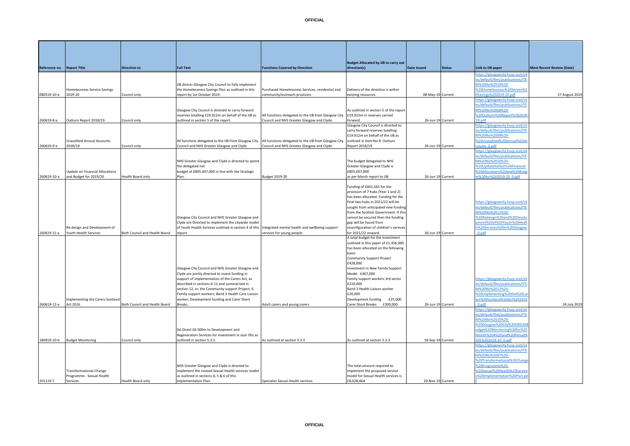| Reference no. | <b>Report Title</b>                                         | <b>Direction to</b>           | <b>Full Text</b>                                                                                       | <b>Functions Covered by Direction</b>                                                                                                                   | <b>Budget Allocated by IJB to carry out</b><br>direction(s)               | <b>Date Issued</b> | <b>Status</b> | Link to IJB paper                                                      | <b>Most Recent Review (Date)</b> |
|---------------|-------------------------------------------------------------|-------------------------------|--------------------------------------------------------------------------------------------------------|---------------------------------------------------------------------------------------------------------------------------------------------------------|---------------------------------------------------------------------------|--------------------|---------------|------------------------------------------------------------------------|----------------------------------|
|               |                                                             |                               |                                                                                                        |                                                                                                                                                         |                                                                           |                    |               | https://glasgowcity.hscp.scot/si<br>s/default/files/publications/ITE   |                                  |
|               |                                                             |                               | IJB directs Glasgow City Council to fully implement                                                    |                                                                                                                                                         |                                                                           |                    |               | VI%20No%2010%20-                                                       |                                  |
| 080519-10-a   | Homelessness Service Savings<br>2019-20                     | Council only                  | the Homelessness Savings Plan as outlined in this<br>report by 1st October 2019.                       | Purchased Homelessness Services, residential and<br>community/outreach provision.                                                                       | Delivery of the direction is within<br>existing resources.                | 08-May-19 Current  |               | %20Homelessness%20Service%2<br>0Savings%202019-20.pdf                  | 27 August 201                    |
|               |                                                             |                               |                                                                                                        |                                                                                                                                                         |                                                                           |                    |               | https://glasgowcity.hscp.scot/si<br>es/default/files/publications/ITE  |                                  |
|               |                                                             |                               | Glasgow City Council is directed to carry forward                                                      |                                                                                                                                                         | As outlined in section 5 of the report                                    |                    |               | M%20No%2008%20-                                                        |                                  |
| 260619-8-a    | Outturn Report 2018/19                                      | Council only                  | reserves totalling £19.912m on behalf of the IJB as<br>outlined in section 5 of the report.            | All functions delegated to the IJB from Glasgow City<br>Council and NHS Greater Glasgow and Clyde.                                                      | £19.912m in reserves carried<br>forward.                                  | 26-Jun-19 Current  |               | %20Outturn%20Report%202018<br>19.pdf                                   |                                  |
|               |                                                             |                               |                                                                                                        |                                                                                                                                                         | Glasgow City Council is directed to<br>carry forward reserves totalling   |                    |               | https://glasgowcity.hscp.scot/si<br>es/default/files/publications/ITE  |                                  |
|               |                                                             |                               |                                                                                                        |                                                                                                                                                         | £19.912m on behalf of the IJB as                                          |                    |               | M%20No%2009%20-                                                        |                                  |
| 260619-9-a    | <b>Unaudited Annual Accounts</b><br>2018/19                 | Council only                  | Council and NHS Greater Glasgow and Clyde                                                              | All functions delegated to the IJB from Glasgow City All functions delegated to the IJB from Glasgow City<br>Council and NHS Greater Glasgow and Clyde. | outlined in Item No 8. Outturn<br>Report 2018/19.                         | 26-Jun-19 Current  |               | %20Unaudited%20Annual%20A<br>ounts_0.pdf                               |                                  |
|               |                                                             |                               |                                                                                                        |                                                                                                                                                         |                                                                           |                    |               | https://glasgowcity.hscp.scot/si                                       |                                  |
|               |                                                             |                               | NHS Greater Glasgow and Clyde is directed to spend                                                     |                                                                                                                                                         | The budget delegated to NHS                                               |                    |               | es/default/files/publications/ITE<br>M%20No%2010%20-                   |                                  |
|               | Update on Financial Allocations                             |                               | the delegated net<br>budget of £805,007,000 in line with the Strategic                                 |                                                                                                                                                         | Greater Glasgow and Clyde is<br>£805,007,000                              |                    |               | %20Update%20on%20Financial<br>%20Allocations%20and%20Bud               |                                  |
| 260619-10-a   | and Budget for 2019/20                                      | Health Board only             | Plan.                                                                                                  | Budget 2019-20                                                                                                                                          | is per March report to IJB.                                               | 26-Jun-19 Current  |               | t%20for%202019-20_0.pdf                                                |                                  |
|               |                                                             |                               |                                                                                                        |                                                                                                                                                         | Funding of £401,565 for the<br>provision of 7 hubs (Year 1 and 2)         |                    |               |                                                                        |                                  |
|               |                                                             |                               |                                                                                                        |                                                                                                                                                         | has been allocated. Funding for the                                       |                    |               |                                                                        |                                  |
|               |                                                             |                               |                                                                                                        |                                                                                                                                                         | final two hubs in 2021/22 will be<br>sought from anticipated new funding  |                    |               | https://glasgowcity.hscp.scot/si<br>es/default/files/publications/ITE  |                                  |
|               |                                                             |                               | Glasgow City Council and NHS Greater Glasgow and                                                       |                                                                                                                                                         | rom the Scottish Government. If this<br>annot be secured then the funding |                    |               | M%20No%2011%20-<br>%20Redesign%20and%20Develd                          |                                  |
|               |                                                             |                               | Clyde are Directed to implement the citywide model                                                     |                                                                                                                                                         | gap will be found from                                                    |                    |               | oment%20of%20Youth%20Heal                                              |                                  |
| 260619-11-a   | Re-design and Development of<br>Youth Health Services       | Both Council and Health Board | of Youth Health Services outlined in section 4 of this<br>report.                                      | Integrated mental health and wellbeing support<br>services for young people.                                                                            | reconfiguration of children's services<br>or 2021/22 onward.              | 26-Jun-19 Current  |               | n%20Services%20in%20Glasgow<br>0.pdf                                   |                                  |
|               |                                                             |                               |                                                                                                        |                                                                                                                                                         | A total budget for the investment<br>outlined in this paper of £1,456,000 |                    |               |                                                                        |                                  |
|               |                                                             |                               |                                                                                                        |                                                                                                                                                         | has been allocated on the following                                       |                    |               |                                                                        |                                  |
|               |                                                             |                               |                                                                                                        |                                                                                                                                                         | basis:<br>Community Support Project                                       |                    |               |                                                                        |                                  |
|               |                                                             |                               | Glasgow City Council and NHS Greater Glasgow and                                                       |                                                                                                                                                         | £428,000<br>Investment in New Family Support                              |                    |               |                                                                        |                                  |
|               |                                                             |                               | Clyde are jointly directed to invest funding in                                                        |                                                                                                                                                         | Model £467,000                                                            |                    |               |                                                                        |                                  |
|               |                                                             |                               | support of implementation of the Carers Act, as<br>described in sections 6-11 and summarised in        |                                                                                                                                                         | Family support workers 3rd sector<br>£210,000                             |                    |               | https://glasgowcity.hscp.scot/sit<br>es/default/files/publications/ITE |                                  |
|               |                                                             |                               | section 12, in; the Community support Project; 6<br>Family support workers; Band 3 Health Care Liaison |                                                                                                                                                         | Band 3 Health Liaison worker<br>£26,000                                   |                    |               | M%20No%2012%20-<br>%20Implementing%20the%20Ca                          |                                  |
|               | Implementing the Carers Scotland                            |                               | worker; Development funding and Carer Short                                                            |                                                                                                                                                         | Development funding<br>£25,000                                            |                    |               | ers%20Scotland%20Act%202016                                            |                                  |
| 260619-12-a   | Act 2016                                                    | Both Council and Health Board | <b>Breaks</b>                                                                                          | Adult carers and young carers.                                                                                                                          | Carer Short Breaks<br>£300,000                                            | 26-Jun-19 Current  |               | 0.pdf<br>https://glasgowcity.hscp.scot/si                              | 24 July 2019                     |
|               |                                                             |                               |                                                                                                        |                                                                                                                                                         |                                                                           |                    |               | es/default/files/publications/ITE                                      |                                  |
|               |                                                             |                               |                                                                                                        |                                                                                                                                                         |                                                                           |                    |               | M%20No%2010%20-<br>%20Glasgow%20City%20UB%20                           |                                  |
|               |                                                             |                               | (b) Direct £0.500m to Development and<br>Regeneration Services for investment in stair lifts as        |                                                                                                                                                         |                                                                           |                    |               | dget%20Monitoring%20for%20<br>Month%204%20and%20Period9                |                                  |
| 180919-10-b   | <b>Budget Monitoring</b>                                    | Council only                  | outlined in section 5.3.3.                                                                             | As outlined at section 5.3.3                                                                                                                            | As outlined at section 5.3.3                                              | 18-Sep-19 Current  |               | 05%202019-20_0.pdf                                                     |                                  |
|               |                                                             |                               |                                                                                                        |                                                                                                                                                         |                                                                           |                    |               | https://glasgowcity.hscp.scot/si<br>es/default/files/publications/ITE  |                                  |
|               |                                                             |                               |                                                                                                        |                                                                                                                                                         |                                                                           |                    |               | VI%20No%2007%20-                                                       |                                  |
|               |                                                             |                               | VHS Greater Glasgow and Clyde is directed to                                                           |                                                                                                                                                         | The total amount required to                                              |                    |               | 620Transformational%20Chang<br>620Programme%20-                        |                                  |
|               | <b>Transformational Change</b><br>Programme - Sexual Health |                               | implement the revised Sexual Health services model<br>as outlined in sections 4, 5 & 6 of this         |                                                                                                                                                         | implement the proposed service<br>model for Sexual Health services is     |                    |               | %20Sexual%20Health%20Service<br>%20Implementation%20Plan.p             |                                  |
| 201119-7      | Services                                                    | Health Board only             | Implementation Plan.                                                                                   | Specialist Sexual Health services                                                                                                                       | £8,028,464                                                                | 20-Nov-19 Current  |               |                                                                        |                                  |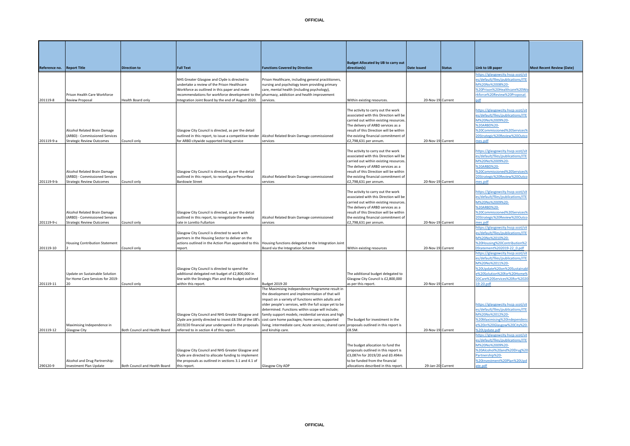**Reference no.** Report Title

201119-8

201119-9-a

| <b>Report Title</b>              | <b>Direction to</b> | <b>Full Text</b>                                                                                 | <b>Functions Covered by Direction</b>               | direction(s)                            | <b>Date Issued</b> | <b>Status</b> | Link to IJB paper                 | <b>Most Recent Review (Date)</b> |
|----------------------------------|---------------------|--------------------------------------------------------------------------------------------------|-----------------------------------------------------|-----------------------------------------|--------------------|---------------|-----------------------------------|----------------------------------|
|                                  |                     |                                                                                                  |                                                     |                                         |                    |               | https://glasgowcity.hscp.scot/sit |                                  |
|                                  |                     | NHS Greater Glasgow and Clyde is directed to                                                     | Prison Healthcare, including general practitioners, |                                         |                    |               | es/default/files/publications/ITE |                                  |
|                                  |                     | undertake a review of the Prison Healthcare                                                      | nursing and psychology team providing primary       |                                         |                    |               | M%20No%2008%20-                   |                                  |
|                                  |                     | Workforce as outlined in this paper and make                                                     | care, mental health (including psychology),         |                                         |                    |               | %20Prison%20Healthcare%20Wo       |                                  |
| Prison Health Care Workforce     |                     | recommendations for workforce development to the pharmacy, addiction and health improvement      |                                                     |                                         |                    |               | rkforce%20Review%20Proposal       |                                  |
| Review Proposal                  | Health Board only   | Integration Joint Board by the end of August 2020.                                               | services.                                           | Within existing resources.              | 20-Nov-19 Current  |               |                                   |                                  |
|                                  |                     |                                                                                                  |                                                     |                                         |                    |               |                                   |                                  |
|                                  |                     |                                                                                                  |                                                     | The activity to carry out the work      |                    |               | https://glasgowcity.hscp.scot/sit |                                  |
|                                  |                     |                                                                                                  |                                                     | associated with this Direction will be  |                    |               | es/default/files/publications/ITE |                                  |
|                                  |                     |                                                                                                  |                                                     | carried out within existing resources.  |                    |               | M%20No%2009%20-                   |                                  |
|                                  |                     |                                                                                                  |                                                     | The delivery of ARBD services as a      |                    |               | %20ARBD%20-                       |                                  |
| Alcohol Related Brain Damage     |                     | Glasgow City Council is directed, as per the detail                                              |                                                     | result of this Direction will be within |                    |               | %20Commissioned%20Services%       |                                  |
| (ARBD) - Commissioned Services   |                     | outlined in this report, to issue a competitive tender Alcohol Related Brain Damage commissioned |                                                     | the existing financial commitment of    |                    |               | 20Strategic%20Review%20Outco      |                                  |
| <b>Strategic Review Outcomes</b> | Council only        | for ARBD citywide supported living service                                                       | services                                            | £2,798,631 per annum.                   | 20-Nov-19 Current  |               | mes.pdf                           |                                  |
|                                  |                     |                                                                                                  |                                                     |                                         |                    |               |                                   |                                  |
|                                  |                     |                                                                                                  |                                                     | The activity to carry out the work      |                    |               | https://glasgowcity.hscp.scot/sit |                                  |
|                                  |                     |                                                                                                  |                                                     | associated with this Direction will be  |                    |               | es/default/files/publications/ITE |                                  |
|                                  |                     |                                                                                                  |                                                     | carried out within existing resources.  |                    |               | M%20No%2009%20-                   |                                  |
|                                  |                     |                                                                                                  |                                                     | The delivery of ARBD services as a      |                    |               | %20ARBD%20-                       |                                  |
| Alcohol Related Brain Damage     |                     | Glasgow City Council is directed, as per the detail                                              |                                                     | result of this Direction will be within |                    |               | %20Commissioned%20Services%       |                                  |
| (ARBD) - Commissioned Services   |                     | outlined in this report, to reconfigure Penumbra                                                 | Alcohol Related Brain Damage commissioned           | the existing financial commitment of    |                    |               | 20Strategic%20Review%20Outco      |                                  |
| <b>Strategic Review Outcomes</b> | Council only        | <b>Bardowie Street</b>                                                                           | services                                            | £2,798,631 per annum.                   | 20-Nov-19 Current  |               | mes.pdf                           |                                  |
|                                  |                     |                                                                                                  |                                                     |                                         |                    |               |                                   |                                  |
|                                  |                     |                                                                                                  |                                                     | The activity to carry out the work      |                    |               | https://glasgowcity.hscp.scot/sit |                                  |
|                                  |                     |                                                                                                  |                                                     | associated with this Direction will be  |                    |               | es/default/files/publications/ITE |                                  |
|                                  |                     |                                                                                                  |                                                     | carried out within existing resources.  |                    |               | M%20No%2009%20-                   |                                  |
|                                  |                     |                                                                                                  |                                                     | The delivery of ARBD services as a      |                    |               | %20ARBD%20-                       |                                  |
| Alcohol Related Brain Damage     |                     | Glasgow City Council is directed, as per the detail                                              |                                                     | result of this Direction will be within |                    |               | %20Commissioned%20Services%       |                                  |
| (ARBD) - Commissioned Services   |                     | outlined in this report, to renegotiate the weekly                                               | Alcohol Related Brain Damage commissioned           | the existing financial commitment of    |                    |               | 20Strategic%20Review%20Outco      |                                  |
| <b>Strategic Review Outcomes</b> | Council only        | rate in Loretto Fullarton                                                                        | services                                            | £2,798,631 per annum.                   | 20-Nov-19 Current  |               | mes.pdf                           |                                  |
|                                  |                     |                                                                                                  |                                                     |                                         |                    |               | https://glasgowcity.hscp.scot/sit |                                  |

**Budget Allocated by IJB to carry out** 

|            | Alcohol Related Brain Damage<br>(ARBD) - Commissioned Services |                               | Glasgow City Council is directed, as per the detail<br>outlined in this report, to reconfigure Penumbra | Alcohol Related Brain Damage commissioned                                                                 | associated with this Direction will be<br>carried out within existing resources<br>The delivery of ARBD services as a<br>result of this Direction will be within<br>the existing financial commitment of |                   | s/default/files/publications/ffE<br>VI%20No%2009%20-<br><b>%20ARBD%20-</b><br>%20Commissioned%20Services%<br>20Strategic%20Review%20Outco |  |
|------------|----------------------------------------------------------------|-------------------------------|---------------------------------------------------------------------------------------------------------|-----------------------------------------------------------------------------------------------------------|----------------------------------------------------------------------------------------------------------------------------------------------------------------------------------------------------------|-------------------|-------------------------------------------------------------------------------------------------------------------------------------------|--|
| 201119-9-b | <b>Strategic Review Outcomes</b>                               | Council only                  | <b>Bardowie Street</b>                                                                                  | services                                                                                                  | £2,798,631 per annum.                                                                                                                                                                                    | 20-Nov-19 Current | nes.pdf                                                                                                                                   |  |
|            |                                                                |                               |                                                                                                         |                                                                                                           | The activity to carry out the work                                                                                                                                                                       |                   | https://glasgowcity.hscp.scot/sit                                                                                                         |  |
|            |                                                                |                               |                                                                                                         |                                                                                                           | associated with this Direction will be                                                                                                                                                                   |                   | es/default/files/publications/ITE                                                                                                         |  |
|            |                                                                |                               |                                                                                                         |                                                                                                           | carried out within existing resources                                                                                                                                                                    |                   | VI%20No%2009%20-                                                                                                                          |  |
|            |                                                                |                               |                                                                                                         |                                                                                                           | The delivery of ARBD services as a                                                                                                                                                                       |                   | <b>%20ARBD%20-</b>                                                                                                                        |  |
|            | Alcohol Related Brain Damage                                   |                               | Glasgow City Council is directed, as per the detail                                                     |                                                                                                           | result of this Direction will be within                                                                                                                                                                  |                   | %20Commissioned%20Services%                                                                                                               |  |
|            | (ARBD) - Commissioned Services                                 |                               | outlined in this report, to renegotiate the weekly                                                      | Alcohol Related Brain Damage commissioned                                                                 | the existing financial commitment of                                                                                                                                                                     |                   | 20Strategic%20Review%20Outco                                                                                                              |  |
| 201119-9-с | <b>Strategic Review Outcomes</b>                               | Council only                  | rate in Loretto Fullarton                                                                               | services                                                                                                  | £2,798,631 per annum.                                                                                                                                                                                    | 20-Nov-19 Current | nes.pdf                                                                                                                                   |  |
|            |                                                                |                               |                                                                                                         |                                                                                                           |                                                                                                                                                                                                          |                   | ttps://glasgowcity.hscp.scot/si                                                                                                           |  |
|            |                                                                |                               | Glasgow City Council is directed to work with                                                           |                                                                                                           |                                                                                                                                                                                                          |                   | es/default/files/publications/ITE                                                                                                         |  |
|            |                                                                |                               | partners in the Housing Sector to deliver on the                                                        |                                                                                                           |                                                                                                                                                                                                          |                   | VI%20No%2010%20-                                                                                                                          |  |
|            | <b>Housing Contribution Statement</b>                          |                               |                                                                                                         | actions outlined in the Action Plan appended to this Housing functions delegated to the Integration Joint |                                                                                                                                                                                                          |                   | %20Housing%20Contribution%2                                                                                                               |  |
| 201119-10  |                                                                | Council only                  | report.                                                                                                 | Board via the Integration Scheme                                                                          | Within existing resources                                                                                                                                                                                | 20-Nov-19 Current | 0Statement%202019-22 0.pdf                                                                                                                |  |
|            |                                                                |                               |                                                                                                         |                                                                                                           |                                                                                                                                                                                                          |                   | https://glasgowcity.hscp.scot/si                                                                                                          |  |
|            |                                                                |                               |                                                                                                         |                                                                                                           |                                                                                                                                                                                                          |                   | es/default/files/publications/ITE                                                                                                         |  |
|            |                                                                |                               |                                                                                                         |                                                                                                           |                                                                                                                                                                                                          |                   | VI%20No%2011%20-                                                                                                                          |  |
|            |                                                                |                               | Glasgow City Council is directed to spend the                                                           |                                                                                                           |                                                                                                                                                                                                          |                   | %20Update%20on%20Sustainab                                                                                                                |  |
|            | Update on Sustainable Solution                                 |                               | additional delegated net budget of £2,800,000 in                                                        |                                                                                                           | The additional budget delegated to                                                                                                                                                                       |                   | %20Solution%20for%20Home%                                                                                                                 |  |
|            | for Home Care Services for 2019-                               |                               | line with the Strategic Plan and the budget outlined                                                    |                                                                                                           | Glasgow City Council is £2,800,000                                                                                                                                                                       |                   | 20Care%20Services%20for%202                                                                                                               |  |
| 201119-11  |                                                                | Council only                  | within this report.                                                                                     | <b>Budget 2019-20</b>                                                                                     | as per this report.                                                                                                                                                                                      | 20-Nov-19 Current | 19-20.pdf                                                                                                                                 |  |
|            |                                                                |                               |                                                                                                         | The Maximising Independence Programme result in                                                           |                                                                                                                                                                                                          |                   |                                                                                                                                           |  |
|            |                                                                |                               |                                                                                                         | the development and implementation of that will                                                           |                                                                                                                                                                                                          |                   |                                                                                                                                           |  |
|            |                                                                |                               |                                                                                                         | mpact on a variety of functions within adults and                                                         |                                                                                                                                                                                                          |                   |                                                                                                                                           |  |
|            |                                                                |                               |                                                                                                         | older people's services, with the full scope yet to be                                                    |                                                                                                                                                                                                          |                   | https://glasgowcity.hscp.scot/sit                                                                                                         |  |
|            |                                                                |                               |                                                                                                         | determined. Functions within scope will include;                                                          |                                                                                                                                                                                                          |                   | es/default/files/publications/ITE                                                                                                         |  |
|            |                                                                |                               | Glasgow City Council and NHS Greater Glasgow and                                                        | family support models; residential services and high                                                      |                                                                                                                                                                                                          |                   | VI%20No%2012%20-                                                                                                                          |  |
|            |                                                                |                               | Clyde are jointly directed to invest £8.5M of the IJB's cost care home packages; home care; supported   |                                                                                                           | The budget for investment in the                                                                                                                                                                         |                   | %20Maximising%20Independen                                                                                                                |  |
|            | Maximising Independence in                                     |                               | 2019/20 financial year underspend in the proposals                                                      | living; intermediate care; Acute services; shared care                                                    | proposals outlined in this report is                                                                                                                                                                     |                   | e%20in%20Glasgow%20City%20                                                                                                                |  |
| 201119-12  | Glasgow City                                                   | Both Council and Health Board | referred to in section 4 of this report.                                                                | and kinship care.                                                                                         | £8.5M.                                                                                                                                                                                                   | 20-Nov-19 Current | %20Update.pdf                                                                                                                             |  |
|            |                                                                |                               |                                                                                                         |                                                                                                           |                                                                                                                                                                                                          |                   | https://glasgowcity.hscp.scot/sit                                                                                                         |  |
|            |                                                                |                               |                                                                                                         |                                                                                                           |                                                                                                                                                                                                          |                   | es/default/files/publications/ITE                                                                                                         |  |
|            |                                                                |                               |                                                                                                         |                                                                                                           | The budget allocation to fund the                                                                                                                                                                        |                   | VI%20No%2009%20-                                                                                                                          |  |
|            |                                                                |                               | Glasgow City Council and NHS Greater Glasgow and                                                        |                                                                                                           | proposals outlined in this report is                                                                                                                                                                     |                   | %20Alcohol%20and%20Drug%20                                                                                                                |  |
|            |                                                                |                               | Clyde are directed to allocate funding to implement                                                     |                                                                                                           | £3,087m for 2019/20 and £0.494m                                                                                                                                                                          |                   | Partnership%20-                                                                                                                           |  |
|            | Alcohol and Drug Partnership:                                  |                               | the proposals as outlined in sections 3.1 and 4.1 of                                                    |                                                                                                           | to be funded from the financial                                                                                                                                                                          |                   | %20Investment%20Plan%20Upd                                                                                                                |  |
| 290120-9   | <b>Investment Plan Update</b>                                  | Both Council and Health Board | this report.                                                                                            | Glasgow City ADP                                                                                          | allocations described in this report                                                                                                                                                                     | 29-Jan-20 Current | te.pdf                                                                                                                                    |  |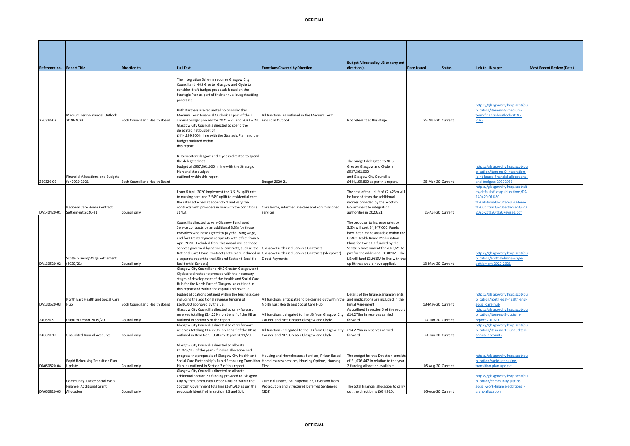|                            |                                          |                               |                                                       |                                                                                             | <b>Budget Allocated by IJB to carry out</b> |                   |               |                                   |                                  |
|----------------------------|------------------------------------------|-------------------------------|-------------------------------------------------------|---------------------------------------------------------------------------------------------|---------------------------------------------|-------------------|---------------|-----------------------------------|----------------------------------|
| Reference no. Report Title |                                          | <b>Direction to</b>           | <b>Full Text</b>                                      | <b>Functions Covered by Direction</b>                                                       | direction(s)                                | Date Issued       | <b>Status</b> | Link to IJB paper                 | <b>Most Recent Review (Date)</b> |
|                            |                                          |                               |                                                       |                                                                                             |                                             |                   |               |                                   |                                  |
|                            |                                          |                               |                                                       |                                                                                             |                                             |                   |               |                                   |                                  |
|                            |                                          |                               | The Integration Scheme requires Glasgow City          |                                                                                             |                                             |                   |               |                                   |                                  |
|                            |                                          |                               | Council and NHS Greater Glasgow and Clyde to          |                                                                                             |                                             |                   |               |                                   |                                  |
|                            |                                          |                               | consider draft budget proposals based on the          |                                                                                             |                                             |                   |               |                                   |                                  |
|                            |                                          |                               | Strategic Plan as part of their annual budget setting |                                                                                             |                                             |                   |               |                                   |                                  |
|                            |                                          |                               | processes.                                            |                                                                                             |                                             |                   |               |                                   |                                  |
|                            |                                          |                               |                                                       |                                                                                             |                                             |                   |               | https://glasgowcity.hscp.scot/pu  |                                  |
|                            |                                          |                               | Both Partners are requested to consider this          |                                                                                             |                                             |                   |               | olication/item-no-8-medium-       |                                  |
|                            |                                          |                               |                                                       |                                                                                             |                                             |                   |               |                                   |                                  |
|                            | Medium Term Financial Outlook            |                               | Medium Term Financial Outlook as part of their        | All functions as outlined in the Medium Term                                                |                                             |                   |               | term-financial-outlook-2020-      |                                  |
| 250320-08                  | 2020-2023                                | Both Council and Health Board | annual budget process for 2021 - 22 and 2022 - 23.    | <b>Financial Outlook</b>                                                                    | Not relevant at this stage.                 | 25-Mar-20 Current |               | 2023                              |                                  |
|                            |                                          |                               | Glasgow City Council is directed to spend the         |                                                                                             |                                             |                   |               |                                   |                                  |
|                            |                                          |                               | delegated net budget of                               |                                                                                             |                                             |                   |               |                                   |                                  |
|                            |                                          |                               | £444,199,800 in line with the Strategic Plan and the  |                                                                                             |                                             |                   |               |                                   |                                  |
|                            |                                          |                               | budget outlined within                                |                                                                                             |                                             |                   |               |                                   |                                  |
|                            |                                          |                               | this report.                                          |                                                                                             |                                             |                   |               |                                   |                                  |
|                            |                                          |                               |                                                       |                                                                                             |                                             |                   |               |                                   |                                  |
|                            |                                          |                               | NHS Greater Glasgow and Clyde is directed to spend    |                                                                                             |                                             |                   |               |                                   |                                  |
|                            |                                          |                               | the delegated net                                     |                                                                                             |                                             |                   |               |                                   |                                  |
|                            |                                          |                               |                                                       |                                                                                             | The budget delegated to NHS                 |                   |               |                                   |                                  |
|                            |                                          |                               | budget of £937,361,000 in line with the Strategic     |                                                                                             | Greater Glasgow and Clyde is                |                   |               | https://glasgowcity.hscp.scot/pu  |                                  |
|                            |                                          |                               | Plan and the budget                                   |                                                                                             | £937,361,000                                |                   |               | olication/item-no-9-integration-  |                                  |
|                            | <b>Financial Allocations and Budgets</b> |                               | outlined within this report.                          |                                                                                             | and Glasgow City Council is                 |                   |               | oint-board-financial-allocations  |                                  |
| 250320-09                  | for 2020-2021                            | Both Council and Health Board |                                                       | Budget 2020-21                                                                              | £444,199,800 as per this report.            | 25-Mar-20 Current |               | nd-budgets-20202021               |                                  |
|                            |                                          |                               |                                                       |                                                                                             |                                             |                   |               | https://glasgowcity.hscp.scot/sit |                                  |
|                            |                                          |                               | From 6 April 2020 implement the 3.51% uplift rate     |                                                                                             | The cost of the uplift of £2.423m will      |                   |               | es/default/files/publications/DA  |                                  |
|                            |                                          |                               | to nursing care and 3.54% uplift to residential care, |                                                                                             | be funded from the additional               |                   |               | 140420-01%20-                     |                                  |
|                            |                                          |                               | the rates attached at appendix 1 and vary the         |                                                                                             | monies provided by the Scottish             |                   |               | %20National%20Care%20Home         |                                  |
|                            | National Care Home Contract              |                               | contracts with providers in line with the conditions  | Care home, intermediate care and commissioned                                               | Government to integration                   |                   |               | %20Contract%20Settlement%20       |                                  |
|                            | Settlement 2020-21                       |                               | at 4.3.                                               | services                                                                                    | authorities in 2020/21.                     | 15-Apr-20 Current |               | 2020-21%20-%20Revised.pdf         |                                  |
| DA140420-01                |                                          | Council only                  |                                                       |                                                                                             |                                             |                   |               |                                   |                                  |
|                            |                                          |                               |                                                       |                                                                                             |                                             |                   |               |                                   |                                  |
|                            |                                          |                               | Council is directed to vary Glasgow Purchased         |                                                                                             | The proposal to increase rates by           |                   |               |                                   |                                  |
|                            |                                          |                               | Service contracts by an additional 3.3% for those     |                                                                                             | 3.3% will cost £4,847,000. Funds            |                   |               |                                   |                                  |
|                            |                                          |                               | Providers who have agreed to pay the living wage,     |                                                                                             | have been made available within the         |                   |               |                                   |                                  |
|                            |                                          |                               | and for Direct Payment recipients with effect from 6  |                                                                                             | GG&C Health Board Mobilisation              |                   |               |                                   |                                  |
|                            |                                          |                               | April 2020. Excluded from this award will be those    |                                                                                             | Plans for Covid19, funded by the            |                   |               |                                   |                                  |
|                            |                                          |                               | services governed by national contracts, such as the  | <b>Glasgow Purchased Services Contracts</b>                                                 | Scottish Government for 2020/21 to          |                   |               |                                   |                                  |
|                            |                                          |                               | National Care Home Contract (details are included in  | Glasgow Purchased Services Contracts (Sleepover)                                            | pay for the additional £0.881M. The         |                   |               |                                   |                                  |
|                            |                                          |                               |                                                       |                                                                                             |                                             |                   |               | https://glasgowcity.hscp.scot/pu  |                                  |
|                            | Scottish Living Wage Settlement          |                               | a separate report to the IJB) and Scotland Excel (ie  | <b>Direct Payments</b>                                                                      | IJB will fund £3.966M in line with the      |                   |               | plication/scottish-living-wage-   |                                  |
| DA130520-02 (2020/21)      |                                          | Council only                  | Residential Schools)                                  |                                                                                             | uplift that would have applied.             | 13-May-20 Current |               | settlement-2020-2021              |                                  |
|                            |                                          |                               | Glasgow City Council and NHS Greater Glasgow and      |                                                                                             |                                             |                   |               |                                   |                                  |
|                            |                                          |                               | Clyde are directed to proceed with the necessary      |                                                                                             |                                             |                   |               |                                   |                                  |
|                            |                                          |                               | stages of development of the Health and Social Care   |                                                                                             |                                             |                   |               |                                   |                                  |
|                            |                                          |                               | Hub for the North East of Glasgow, as outlined in     |                                                                                             |                                             |                   |               |                                   |                                  |
|                            |                                          |                               | this report and within the capital and revenue        |                                                                                             |                                             |                   |               |                                   |                                  |
|                            |                                          |                               | budget allocations outlined within the business case  |                                                                                             | Details of the finance arrangements         |                   |               | https://glasgowcity.hscp.scot/pu  |                                  |
|                            | North East Health and Social Care        |                               | including the additional revenue funding of           | All functions anticipated to be carried out within the and implications are included in the |                                             |                   |               | blication/north-east-health-and-  |                                  |
|                            |                                          |                               |                                                       |                                                                                             |                                             |                   |               |                                   |                                  |
| DA130520-03                | Hub                                      | Both Council and Health Board | £630,000 approved by the IJB.                         | North East Health and Social Care Hub                                                       | Initial Agreement                           | 13-May-20 Current |               | ocial-care-hub                    |                                  |
|                            |                                          |                               | Glasgow City Council is directed to carry forward     |                                                                                             | As outlined in section 5 of the report      |                   |               | ttps://glasgowcity.hscp.scot/p    |                                  |
|                            |                                          |                               | reserves totalling £14.279m on behalf of the IJB as   | All functions delegated to the IJB from Glasgow City                                        | £14.279m in reserves carried                |                   |               | olication/item-no-9-outturn-      |                                  |
| 240620-9                   | Outturn Report 2019/20                   | Council only                  | outlined in section 5 of the report.                  | Council and NHS Greater Glasgow and Clyde.                                                  | forward.                                    | 24-Jun-20 Current |               | eport-201920                      |                                  |
|                            |                                          |                               | Glasgow City Council is directed to carry forward     |                                                                                             |                                             |                   |               | ittps://glasgowcity.hscp.scot/p   |                                  |
|                            |                                          |                               | reserves totalling £14.279m on behalf of the IJB as   | All functions delegated to the IJB from Glasgow City                                        | £14.279m in reserves carried                |                   |               | olication/item-no-10-unaudited-   |                                  |
| 240620-10                  | <b>Unaudited Annual Accounts</b>         | Council only                  | outlined in Item No 9. Outturn Report 2019/20.        | Council and NHS Greater Glasgow and Clyde                                                   | forward.                                    | 24-Jun-20 Current |               | nnual-accounts                    |                                  |
|                            |                                          |                               |                                                       |                                                                                             |                                             |                   |               |                                   |                                  |
|                            |                                          |                               | Glasgow City Council is directed to allocate          |                                                                                             |                                             |                   |               |                                   |                                  |
|                            |                                          |                               |                                                       |                                                                                             |                                             |                   |               |                                   |                                  |
|                            |                                          |                               | £1,076,447 of the year 2 funding allocation and       |                                                                                             |                                             |                   |               |                                   |                                  |
|                            |                                          |                               | progress the proposals of Glasgow City Health and     | Housing and Homelessness Services, Prison Based                                             | The budget for this Direction consists      |                   |               | https://glasgowcity.hscp.scot/pu  |                                  |
|                            | Rapid Rehousing Transition Plan          |                               | Social Care Partnership's Rapid Rehousing Transition  | Homelessness services, Housing Options, Housing                                             | of £1,076,447 in relation to the year       |                   |               | blication/rapid-rehousing-        |                                  |
| DA050820-04 Update         |                                          | Council only                  | Plan, as outlined in Section 3 of this report.        | First                                                                                       | 2 funding allocation available.             | 05-Aug-20 Current |               | ransition-plan-update             |                                  |
|                            |                                          |                               | Glasgow City Council is directed to allocate          |                                                                                             |                                             |                   |               |                                   |                                  |
|                            |                                          |                               | additional Section 27 funding provided to Glasgow     |                                                                                             |                                             |                   |               | https://glasgowcity.hscp.scot/pu  |                                  |
|                            | Community Justice Social Work            |                               | City by the Community Justice Division within the     | Criminal Justice; Bail Supervision, Diversion from                                          |                                             |                   |               | plication/community-justice-      |                                  |
|                            | Finance: Additional Grant                |                               | Scottish Government totalling £634,910 as per the     | Prosecution and Structured Deferred Sentences                                               | The total financial allocation to carry     |                   |               | social-work-finance-additional-   |                                  |
| DA050820-05 Allocation     |                                          | Council only                  | proposals identified in section 3.3 and 3.4.          | (SDS)                                                                                       | out the direction is £634.910.              | 05-Aug-20 Current |               | grant-allocation                  |                                  |
|                            |                                          |                               |                                                       |                                                                                             |                                             |                   |               |                                   |                                  |